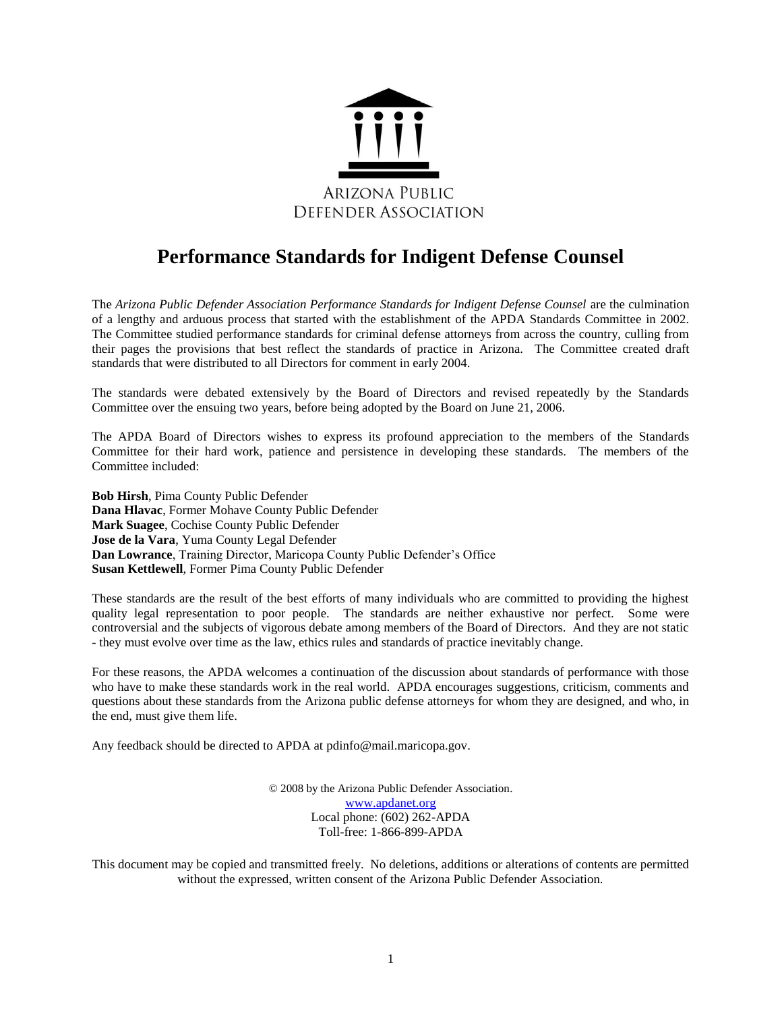

# **Performance Standards for Indigent Defense Counsel**

The *Arizona Public Defender Association Performance Standards for Indigent Defense Counsel* are the culmination of a lengthy and arduous process that started with the establishment of the APDA Standards Committee in 2002. The Committee studied performance standards for criminal defense attorneys from across the country, culling from their pages the provisions that best reflect the standards of practice in Arizona. The Committee created draft standards that were distributed to all Directors for comment in early 2004.

The standards were debated extensively by the Board of Directors and revised repeatedly by the Standards Committee over the ensuing two years, before being adopted by the Board on June 21, 2006.

The APDA Board of Directors wishes to express its profound appreciation to the members of the Standards Committee for their hard work, patience and persistence in developing these standards. The members of the Committee included:

**Bob Hirsh**, Pima County Public Defender **Dana Hlavac**, Former Mohave County Public Defender **Mark Suagee**, Cochise County Public Defender **Jose de la Vara**, Yuma County Legal Defender **Dan Lowrance**, Training Director, Maricopa County Public Defender's Office **Susan Kettlewell**, Former Pima County Public Defender

These standards are the result of the best efforts of many individuals who are committed to providing the highest quality legal representation to poor people. The standards are neither exhaustive nor perfect. Some were controversial and the subjects of vigorous debate among members of the Board of Directors. And they are not static - they must evolve over time as the law, ethics rules and standards of practice inevitably change.

For these reasons, the APDA welcomes a continuation of the discussion about standards of performance with those who have to make these standards work in the real world. APDA encourages suggestions, criticism, comments and questions about these standards from the Arizona public defense attorneys for whom they are designed, and who, in the end, must give them life.

Any feedback should be directed to APDA at pdinfo@mail.maricopa.gov.

© 2008 by the Arizona Public Defender Association. [www.apdanet.org](http://www.apdanet.org/) Local phone: (602) 262-APDA Toll-free: 1-866-899-APDA

This document may be copied and transmitted freely. No deletions, additions or alterations of contents are permitted without the expressed, written consent of the Arizona Public Defender Association.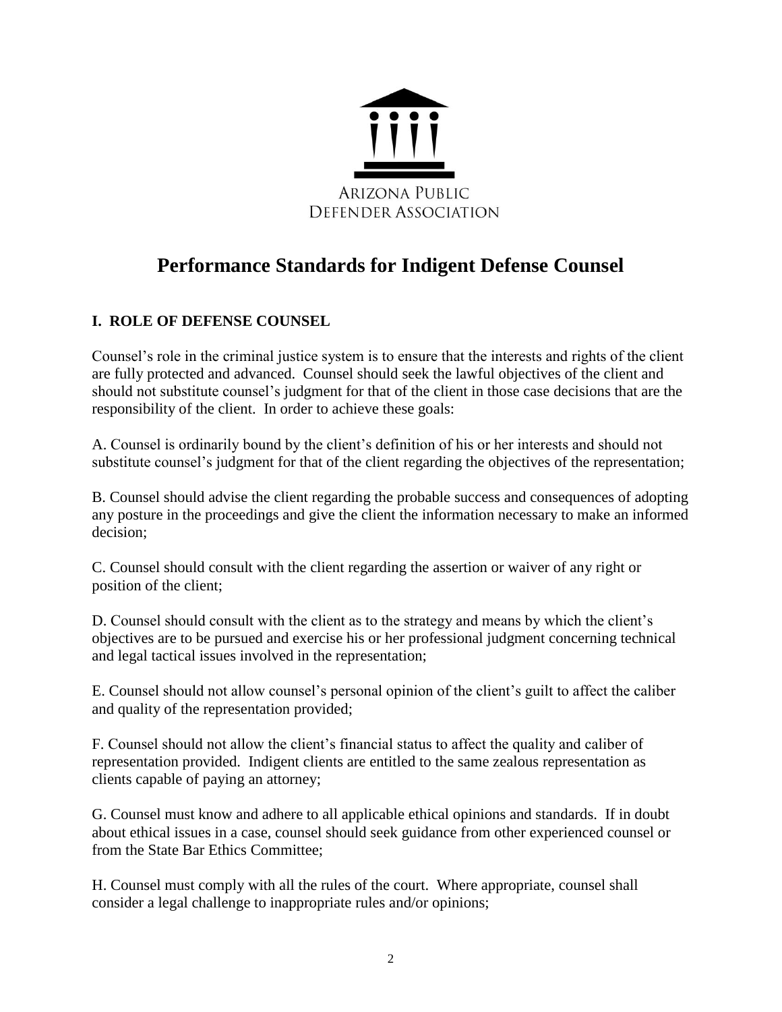

# **Performance Standards for Indigent Defense Counsel**

# **I. ROLE OF DEFENSE COUNSEL**

Counsel's role in the criminal justice system is to ensure that the interests and rights of the client are fully protected and advanced. Counsel should seek the lawful objectives of the client and should not substitute counsel's judgment for that of the client in those case decisions that are the responsibility of the client. In order to achieve these goals:

A. Counsel is ordinarily bound by the client's definition of his or her interests and should not substitute counsel's judgment for that of the client regarding the objectives of the representation;

B. Counsel should advise the client regarding the probable success and consequences of adopting any posture in the proceedings and give the client the information necessary to make an informed decision;

C. Counsel should consult with the client regarding the assertion or waiver of any right or position of the client;

D. Counsel should consult with the client as to the strategy and means by which the client's objectives are to be pursued and exercise his or her professional judgment concerning technical and legal tactical issues involved in the representation;

E. Counsel should not allow counsel's personal opinion of the client's guilt to affect the caliber and quality of the representation provided;

F. Counsel should not allow the client's financial status to affect the quality and caliber of representation provided. Indigent clients are entitled to the same zealous representation as clients capable of paying an attorney;

G. Counsel must know and adhere to all applicable ethical opinions and standards. If in doubt about ethical issues in a case, counsel should seek guidance from other experienced counsel or from the State Bar Ethics Committee;

H. Counsel must comply with all the rules of the court. Where appropriate, counsel shall consider a legal challenge to inappropriate rules and/or opinions;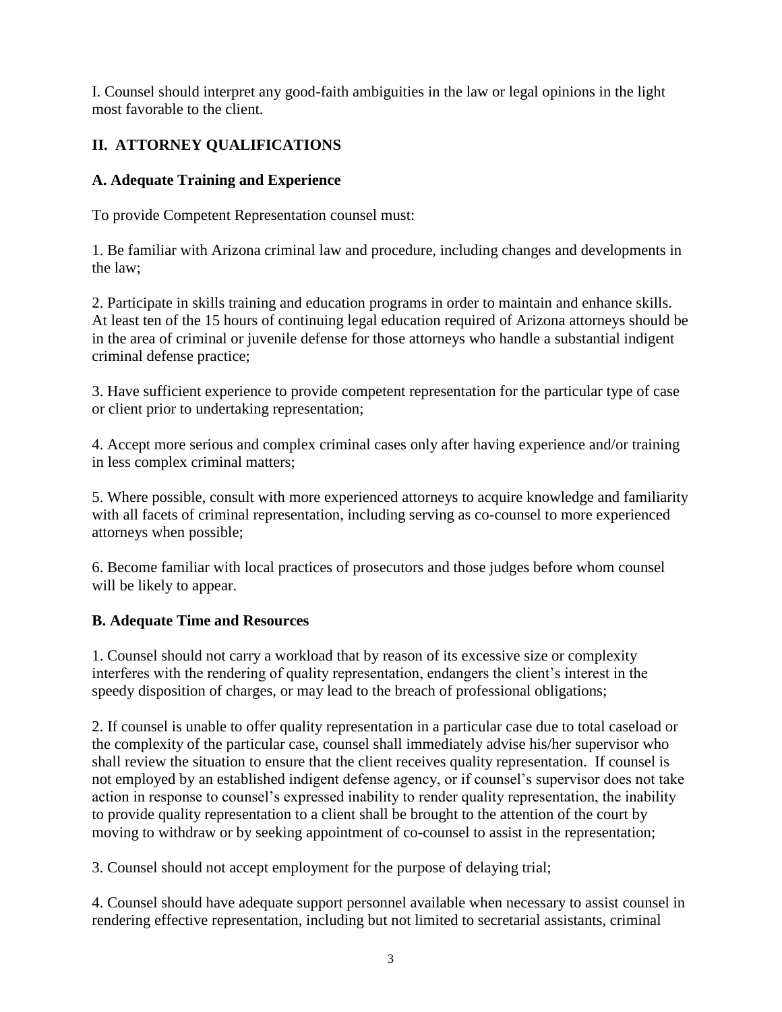I. Counsel should interpret any good-faith ambiguities in the law or legal opinions in the light most favorable to the client.

# **II. ATTORNEY QUALIFICATIONS**

# **A. Adequate Training and Experience**

To provide Competent Representation counsel must:

1. Be familiar with Arizona criminal law and procedure, including changes and developments in the law;

2. Participate in skills training and education programs in order to maintain and enhance skills. At least ten of the 15 hours of continuing legal education required of Arizona attorneys should be in the area of criminal or juvenile defense for those attorneys who handle a substantial indigent criminal defense practice;

3. Have sufficient experience to provide competent representation for the particular type of case or client prior to undertaking representation;

4. Accept more serious and complex criminal cases only after having experience and/or training in less complex criminal matters;

5. Where possible, consult with more experienced attorneys to acquire knowledge and familiarity with all facets of criminal representation, including serving as co-counsel to more experienced attorneys when possible;

6. Become familiar with local practices of prosecutors and those judges before whom counsel will be likely to appear.

# **B. Adequate Time and Resources**

1. Counsel should not carry a workload that by reason of its excessive size or complexity interferes with the rendering of quality representation, endangers the client's interest in the speedy disposition of charges, or may lead to the breach of professional obligations;

2. If counsel is unable to offer quality representation in a particular case due to total caseload or the complexity of the particular case, counsel shall immediately advise his/her supervisor who shall review the situation to ensure that the client receives quality representation. If counsel is not employed by an established indigent defense agency, or if counsel's supervisor does not take action in response to counsel's expressed inability to render quality representation, the inability to provide quality representation to a client shall be brought to the attention of the court by moving to withdraw or by seeking appointment of co-counsel to assist in the representation;

3. Counsel should not accept employment for the purpose of delaying trial;

4. Counsel should have adequate support personnel available when necessary to assist counsel in rendering effective representation, including but not limited to secretarial assistants, criminal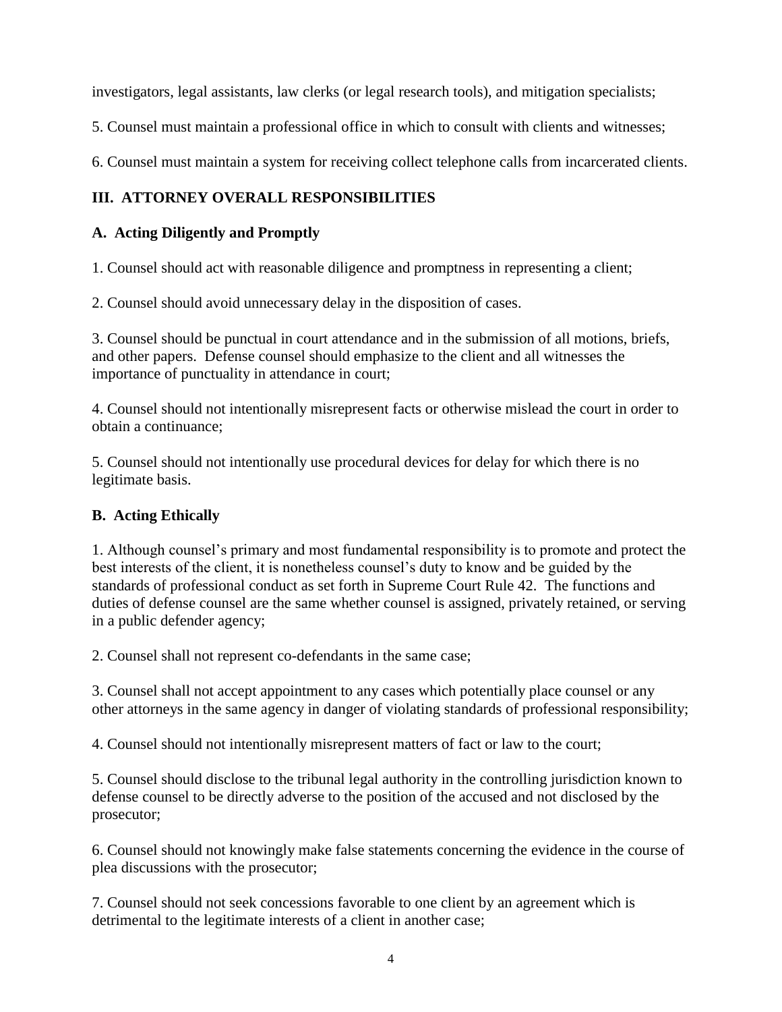investigators, legal assistants, law clerks (or legal research tools), and mitigation specialists;

5. Counsel must maintain a professional office in which to consult with clients and witnesses;

6. Counsel must maintain a system for receiving collect telephone calls from incarcerated clients.

# **III. ATTORNEY OVERALL RESPONSIBILITIES**

# **A. Acting Diligently and Promptly**

1. Counsel should act with reasonable diligence and promptness in representing a client;

2. Counsel should avoid unnecessary delay in the disposition of cases.

3. Counsel should be punctual in court attendance and in the submission of all motions, briefs, and other papers. Defense counsel should emphasize to the client and all witnesses the importance of punctuality in attendance in court;

4. Counsel should not intentionally misrepresent facts or otherwise mislead the court in order to obtain a continuance;

5. Counsel should not intentionally use procedural devices for delay for which there is no legitimate basis.

### **B. Acting Ethically**

1. Although counsel's primary and most fundamental responsibility is to promote and protect the best interests of the client, it is nonetheless counsel's duty to know and be guided by the standards of professional conduct as set forth in Supreme Court Rule 42. The functions and duties of defense counsel are the same whether counsel is assigned, privately retained, or serving in a public defender agency;

2. Counsel shall not represent co-defendants in the same case;

3. Counsel shall not accept appointment to any cases which potentially place counsel or any other attorneys in the same agency in danger of violating standards of professional responsibility;

4. Counsel should not intentionally misrepresent matters of fact or law to the court;

5. Counsel should disclose to the tribunal legal authority in the controlling jurisdiction known to defense counsel to be directly adverse to the position of the accused and not disclosed by the prosecutor;

6. Counsel should not knowingly make false statements concerning the evidence in the course of plea discussions with the prosecutor;

7. Counsel should not seek concessions favorable to one client by an agreement which is detrimental to the legitimate interests of a client in another case;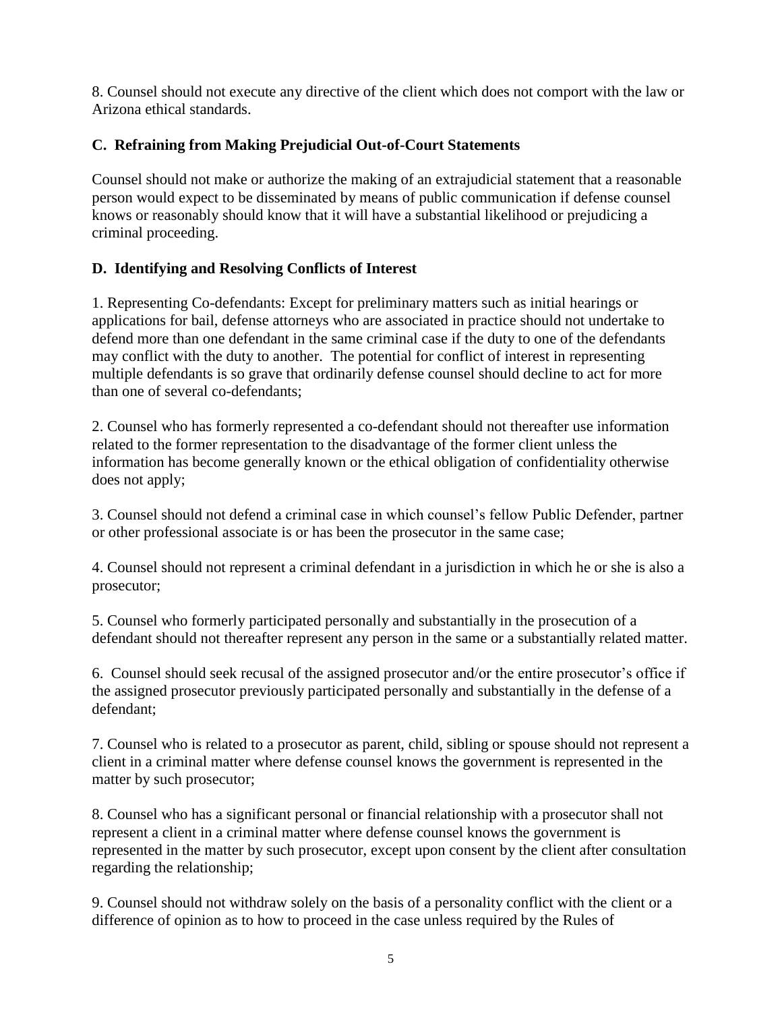8. Counsel should not execute any directive of the client which does not comport with the law or Arizona ethical standards.

# **C. Refraining from Making Prejudicial Out-of-Court Statements**

Counsel should not make or authorize the making of an extrajudicial statement that a reasonable person would expect to be disseminated by means of public communication if defense counsel knows or reasonably should know that it will have a substantial likelihood or prejudicing a criminal proceeding.

# **D. Identifying and Resolving Conflicts of Interest**

1. Representing Co-defendants: Except for preliminary matters such as initial hearings or applications for bail, defense attorneys who are associated in practice should not undertake to defend more than one defendant in the same criminal case if the duty to one of the defendants may conflict with the duty to another. The potential for conflict of interest in representing multiple defendants is so grave that ordinarily defense counsel should decline to act for more than one of several co-defendants;

2. Counsel who has formerly represented a co-defendant should not thereafter use information related to the former representation to the disadvantage of the former client unless the information has become generally known or the ethical obligation of confidentiality otherwise does not apply;

3. Counsel should not defend a criminal case in which counsel's fellow Public Defender, partner or other professional associate is or has been the prosecutor in the same case;

4. Counsel should not represent a criminal defendant in a jurisdiction in which he or she is also a prosecutor;

5. Counsel who formerly participated personally and substantially in the prosecution of a defendant should not thereafter represent any person in the same or a substantially related matter.

6. Counsel should seek recusal of the assigned prosecutor and/or the entire prosecutor's office if the assigned prosecutor previously participated personally and substantially in the defense of a defendant;

7. Counsel who is related to a prosecutor as parent, child, sibling or spouse should not represent a client in a criminal matter where defense counsel knows the government is represented in the matter by such prosecutor;

8. Counsel who has a significant personal or financial relationship with a prosecutor shall not represent a client in a criminal matter where defense counsel knows the government is represented in the matter by such prosecutor, except upon consent by the client after consultation regarding the relationship;

9. Counsel should not withdraw solely on the basis of a personality conflict with the client or a difference of opinion as to how to proceed in the case unless required by the Rules of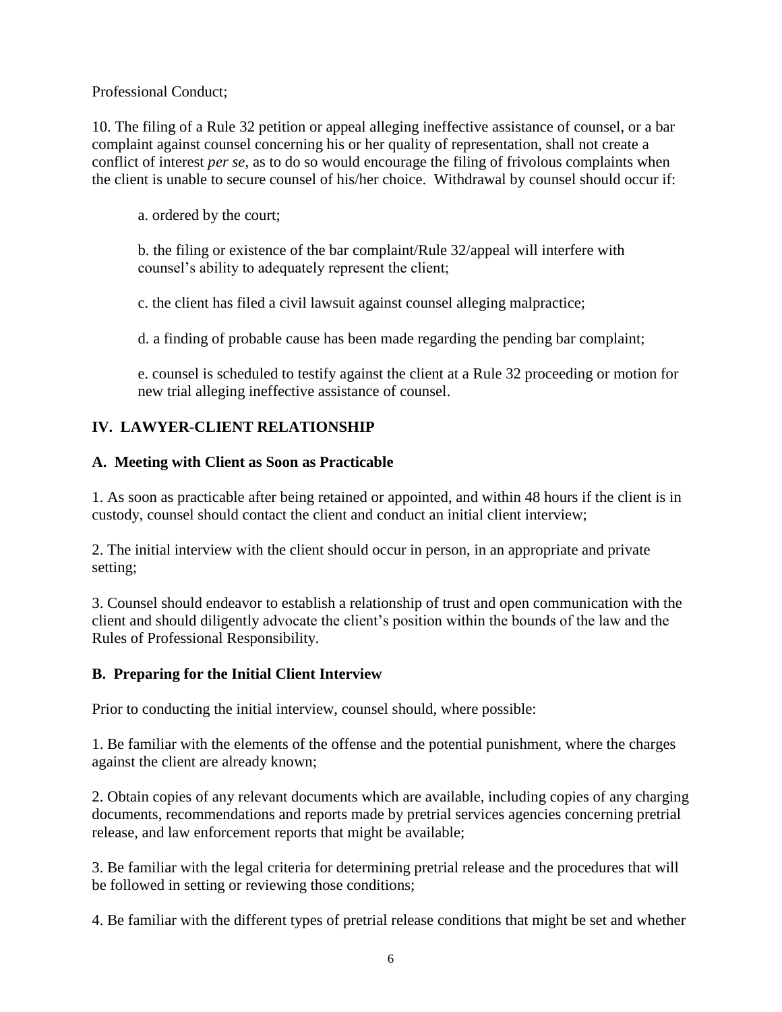Professional Conduct;

10. The filing of a Rule 32 petition or appeal alleging ineffective assistance of counsel, or a bar complaint against counsel concerning his or her quality of representation, shall not create a conflict of interest *per se*, as to do so would encourage the filing of frivolous complaints when the client is unable to secure counsel of his/her choice. Withdrawal by counsel should occur if:

a. ordered by the court;

b. the filing or existence of the bar complaint/Rule 32/appeal will interfere with counsel's ability to adequately represent the client;

c. the client has filed a civil lawsuit against counsel alleging malpractice;

d. a finding of probable cause has been made regarding the pending bar complaint;

e. counsel is scheduled to testify against the client at a Rule 32 proceeding or motion for new trial alleging ineffective assistance of counsel.

#### **IV. LAWYER-CLIENT RELATIONSHIP**

#### **A. Meeting with Client as Soon as Practicable**

1. As soon as practicable after being retained or appointed, and within 48 hours if the client is in custody, counsel should contact the client and conduct an initial client interview;

2. The initial interview with the client should occur in person, in an appropriate and private setting;

3. Counsel should endeavor to establish a relationship of trust and open communication with the client and should diligently advocate the client's position within the bounds of the law and the Rules of Professional Responsibility.

#### **B. Preparing for the Initial Client Interview**

Prior to conducting the initial interview, counsel should, where possible:

1. Be familiar with the elements of the offense and the potential punishment, where the charges against the client are already known;

2. Obtain copies of any relevant documents which are available, including copies of any charging documents, recommendations and reports made by pretrial services agencies concerning pretrial release, and law enforcement reports that might be available;

3. Be familiar with the legal criteria for determining pretrial release and the procedures that will be followed in setting or reviewing those conditions;

4. Be familiar with the different types of pretrial release conditions that might be set and whether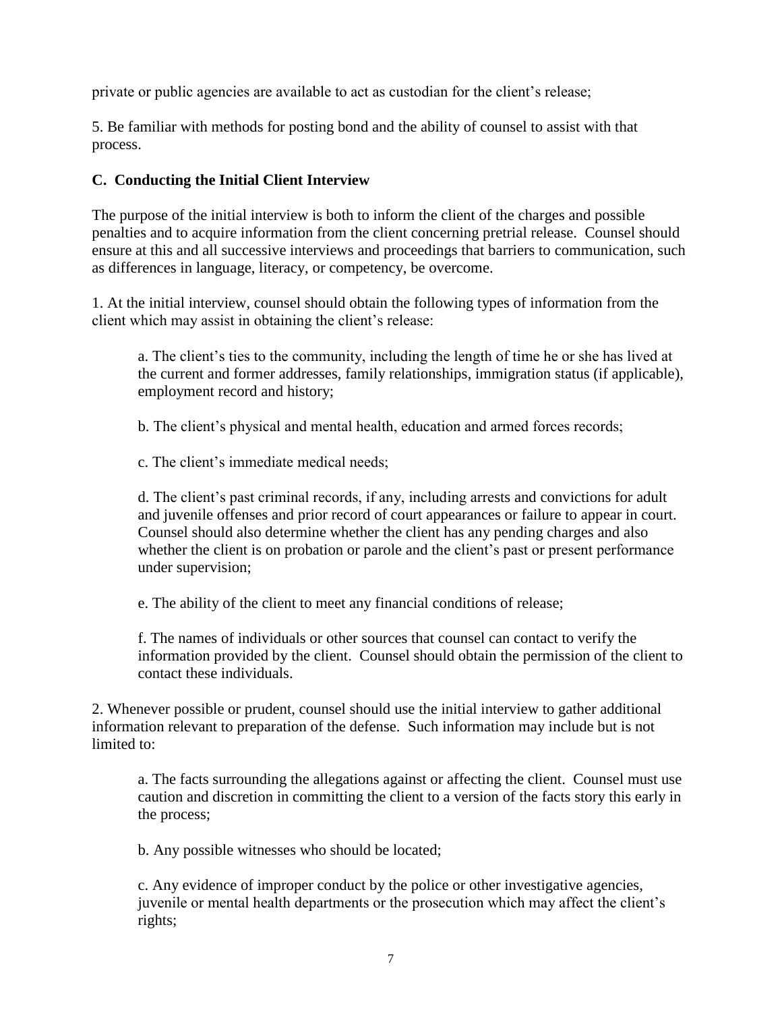private or public agencies are available to act as custodian for the client's release;

5. Be familiar with methods for posting bond and the ability of counsel to assist with that process.

# **C. Conducting the Initial Client Interview**

The purpose of the initial interview is both to inform the client of the charges and possible penalties and to acquire information from the client concerning pretrial release. Counsel should ensure at this and all successive interviews and proceedings that barriers to communication, such as differences in language, literacy, or competency, be overcome.

1. At the initial interview, counsel should obtain the following types of information from the client which may assist in obtaining the client's release:

a. The client's ties to the community, including the length of time he or she has lived at the current and former addresses, family relationships, immigration status (if applicable), employment record and history;

b. The client's physical and mental health, education and armed forces records;

c. The client's immediate medical needs;

d. The client's past criminal records, if any, including arrests and convictions for adult and juvenile offenses and prior record of court appearances or failure to appear in court. Counsel should also determine whether the client has any pending charges and also whether the client is on probation or parole and the client's past or present performance under supervision;

e. The ability of the client to meet any financial conditions of release;

f. The names of individuals or other sources that counsel can contact to verify the information provided by the client. Counsel should obtain the permission of the client to contact these individuals.

2. Whenever possible or prudent, counsel should use the initial interview to gather additional information relevant to preparation of the defense. Such information may include but is not limited to:

a. The facts surrounding the allegations against or affecting the client. Counsel must use caution and discretion in committing the client to a version of the facts story this early in the process;

b. Any possible witnesses who should be located;

c. Any evidence of improper conduct by the police or other investigative agencies, juvenile or mental health departments or the prosecution which may affect the client's rights;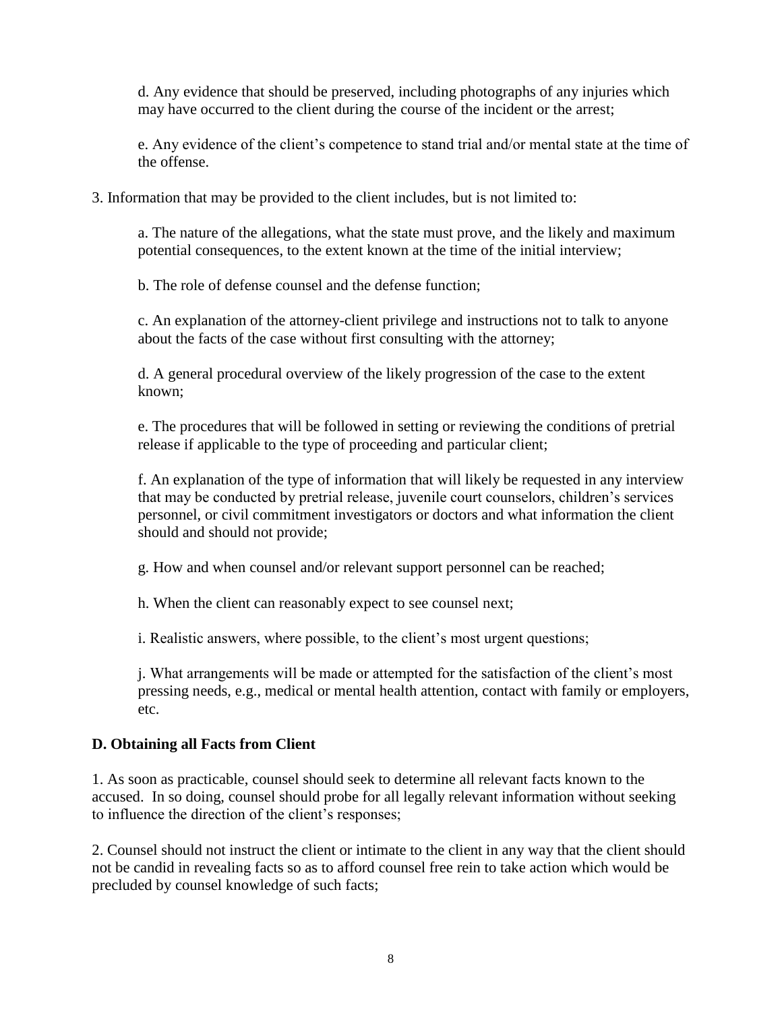d. Any evidence that should be preserved, including photographs of any injuries which may have occurred to the client during the course of the incident or the arrest;

e. Any evidence of the client's competence to stand trial and/or mental state at the time of the offense.

3. Information that may be provided to the client includes, but is not limited to:

a. The nature of the allegations, what the state must prove, and the likely and maximum potential consequences, to the extent known at the time of the initial interview;

b. The role of defense counsel and the defense function;

c. An explanation of the attorney-client privilege and instructions not to talk to anyone about the facts of the case without first consulting with the attorney;

d. A general procedural overview of the likely progression of the case to the extent known;

e. The procedures that will be followed in setting or reviewing the conditions of pretrial release if applicable to the type of proceeding and particular client;

f. An explanation of the type of information that will likely be requested in any interview that may be conducted by pretrial release, juvenile court counselors, children's services personnel, or civil commitment investigators or doctors and what information the client should and should not provide;

g. How and when counsel and/or relevant support personnel can be reached;

h. When the client can reasonably expect to see counsel next;

i. Realistic answers, where possible, to the client's most urgent questions;

j. What arrangements will be made or attempted for the satisfaction of the client's most pressing needs, e.g., medical or mental health attention, contact with family or employers, etc.

#### **D. Obtaining all Facts from Client**

1. As soon as practicable, counsel should seek to determine all relevant facts known to the accused. In so doing, counsel should probe for all legally relevant information without seeking to influence the direction of the client's responses;

2. Counsel should not instruct the client or intimate to the client in any way that the client should not be candid in revealing facts so as to afford counsel free rein to take action which would be precluded by counsel knowledge of such facts;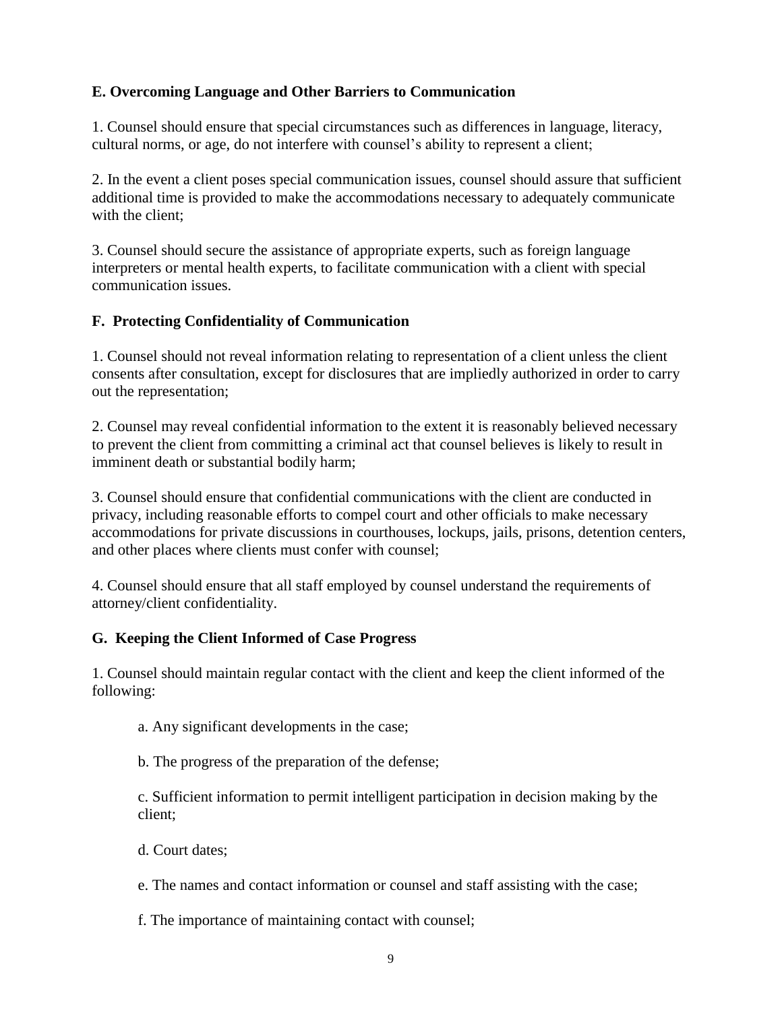# **E. Overcoming Language and Other Barriers to Communication**

1. Counsel should ensure that special circumstances such as differences in language, literacy, cultural norms, or age, do not interfere with counsel's ability to represent a client;

2. In the event a client poses special communication issues, counsel should assure that sufficient additional time is provided to make the accommodations necessary to adequately communicate with the client;

3. Counsel should secure the assistance of appropriate experts, such as foreign language interpreters or mental health experts, to facilitate communication with a client with special communication issues.

#### **F. Protecting Confidentiality of Communication**

1. Counsel should not reveal information relating to representation of a client unless the client consents after consultation, except for disclosures that are impliedly authorized in order to carry out the representation;

2. Counsel may reveal confidential information to the extent it is reasonably believed necessary to prevent the client from committing a criminal act that counsel believes is likely to result in imminent death or substantial bodily harm;

3. Counsel should ensure that confidential communications with the client are conducted in privacy, including reasonable efforts to compel court and other officials to make necessary accommodations for private discussions in courthouses, lockups, jails, prisons, detention centers, and other places where clients must confer with counsel;

4. Counsel should ensure that all staff employed by counsel understand the requirements of attorney/client confidentiality.

#### **G. Keeping the Client Informed of Case Progress**

1. Counsel should maintain regular contact with the client and keep the client informed of the following:

- a. Any significant developments in the case;
- b. The progress of the preparation of the defense;

c. Sufficient information to permit intelligent participation in decision making by the client;

- d. Court dates;
- e. The names and contact information or counsel and staff assisting with the case;
- f. The importance of maintaining contact with counsel;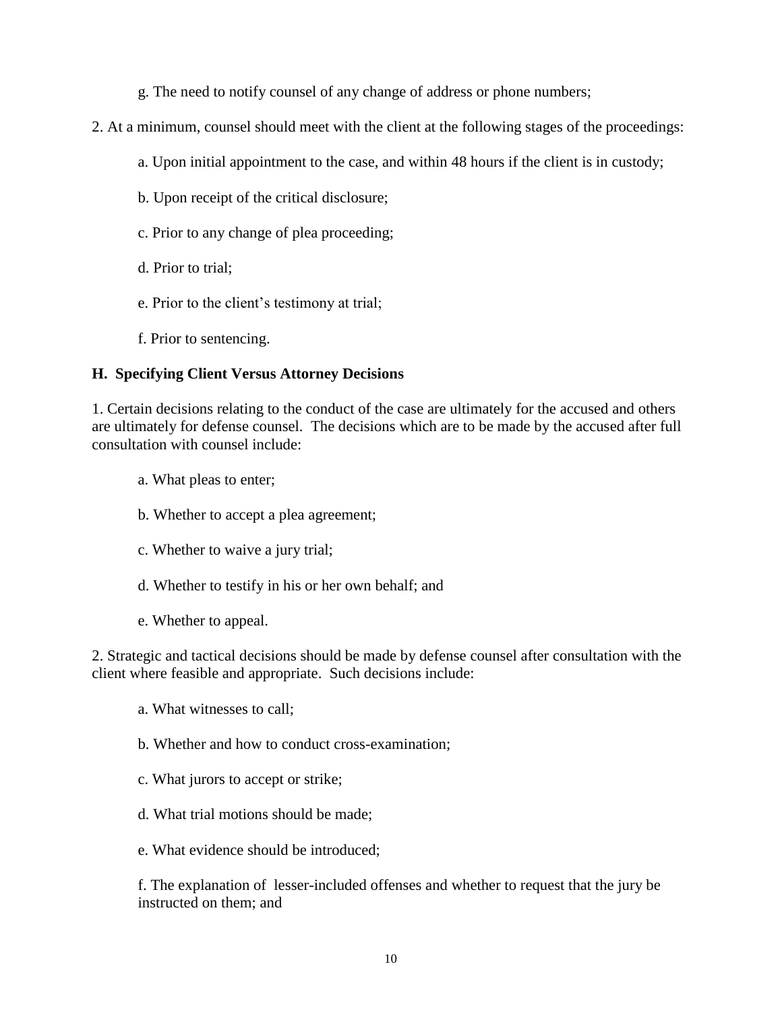- g. The need to notify counsel of any change of address or phone numbers;
- 2. At a minimum, counsel should meet with the client at the following stages of the proceedings:
	- a. Upon initial appointment to the case, and within 48 hours if the client is in custody;
	- b. Upon receipt of the critical disclosure;
	- c. Prior to any change of plea proceeding;
	- d. Prior to trial;
	- e. Prior to the client's testimony at trial;
	- f. Prior to sentencing.

#### **H. Specifying Client Versus Attorney Decisions**

1. Certain decisions relating to the conduct of the case are ultimately for the accused and others are ultimately for defense counsel. The decisions which are to be made by the accused after full consultation with counsel include:

- a. What pleas to enter;
- b. Whether to accept a plea agreement;
- c. Whether to waive a jury trial;
- d. Whether to testify in his or her own behalf; and
- e. Whether to appeal.

2. Strategic and tactical decisions should be made by defense counsel after consultation with the client where feasible and appropriate. Such decisions include:

- a. What witnesses to call;
- b. Whether and how to conduct cross-examination;
- c. What jurors to accept or strike;
- d. What trial motions should be made;
- e. What evidence should be introduced;

f. The explanation of lesser-included offenses and whether to request that the jury be instructed on them; and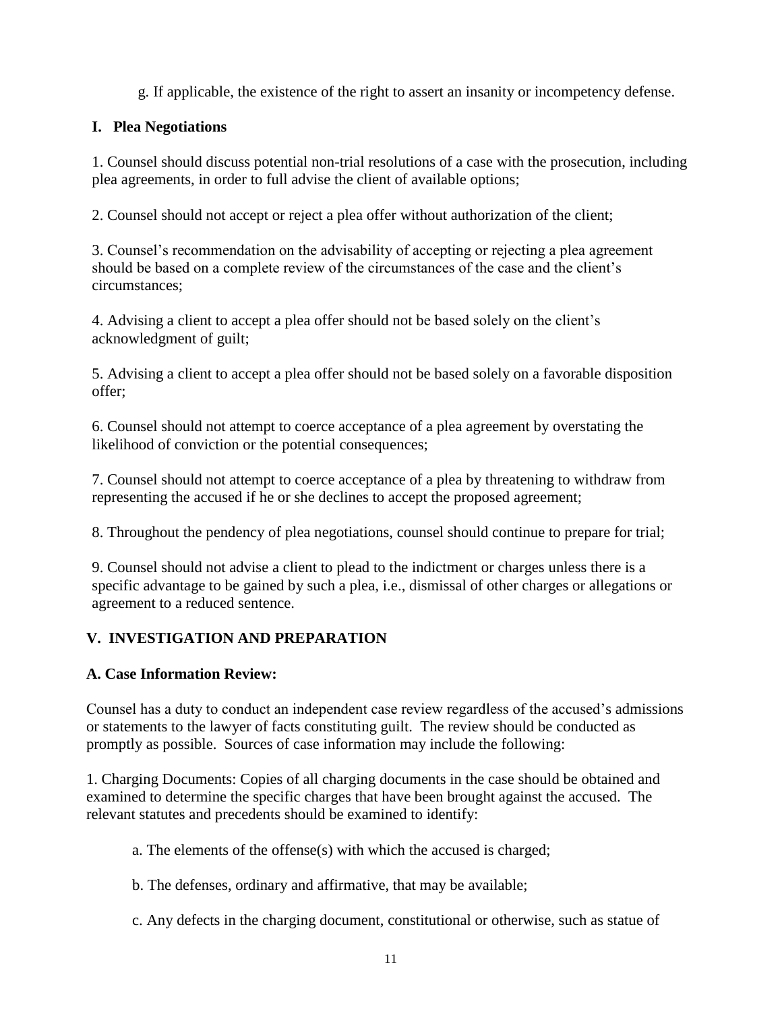g. If applicable, the existence of the right to assert an insanity or incompetency defense.

# **I. Plea Negotiations**

1. Counsel should discuss potential non-trial resolutions of a case with the prosecution, including plea agreements, in order to full advise the client of available options;

2. Counsel should not accept or reject a plea offer without authorization of the client;

3. Counsel's recommendation on the advisability of accepting or rejecting a plea agreement should be based on a complete review of the circumstances of the case and the client's circumstances;

4. Advising a client to accept a plea offer should not be based solely on the client's acknowledgment of guilt;

5. Advising a client to accept a plea offer should not be based solely on a favorable disposition offer;

6. Counsel should not attempt to coerce acceptance of a plea agreement by overstating the likelihood of conviction or the potential consequences;

7. Counsel should not attempt to coerce acceptance of a plea by threatening to withdraw from representing the accused if he or she declines to accept the proposed agreement;

8. Throughout the pendency of plea negotiations, counsel should continue to prepare for trial;

9. Counsel should not advise a client to plead to the indictment or charges unless there is a specific advantage to be gained by such a plea, i.e., dismissal of other charges or allegations or agreement to a reduced sentence.

# **V. INVESTIGATION AND PREPARATION**

#### **A. Case Information Review:**

Counsel has a duty to conduct an independent case review regardless of the accused's admissions or statements to the lawyer of facts constituting guilt. The review should be conducted as promptly as possible. Sources of case information may include the following:

1. Charging Documents: Copies of all charging documents in the case should be obtained and examined to determine the specific charges that have been brought against the accused. The relevant statutes and precedents should be examined to identify:

- a. The elements of the offense(s) with which the accused is charged;
- b. The defenses, ordinary and affirmative, that may be available;
- c. Any defects in the charging document, constitutional or otherwise, such as statue of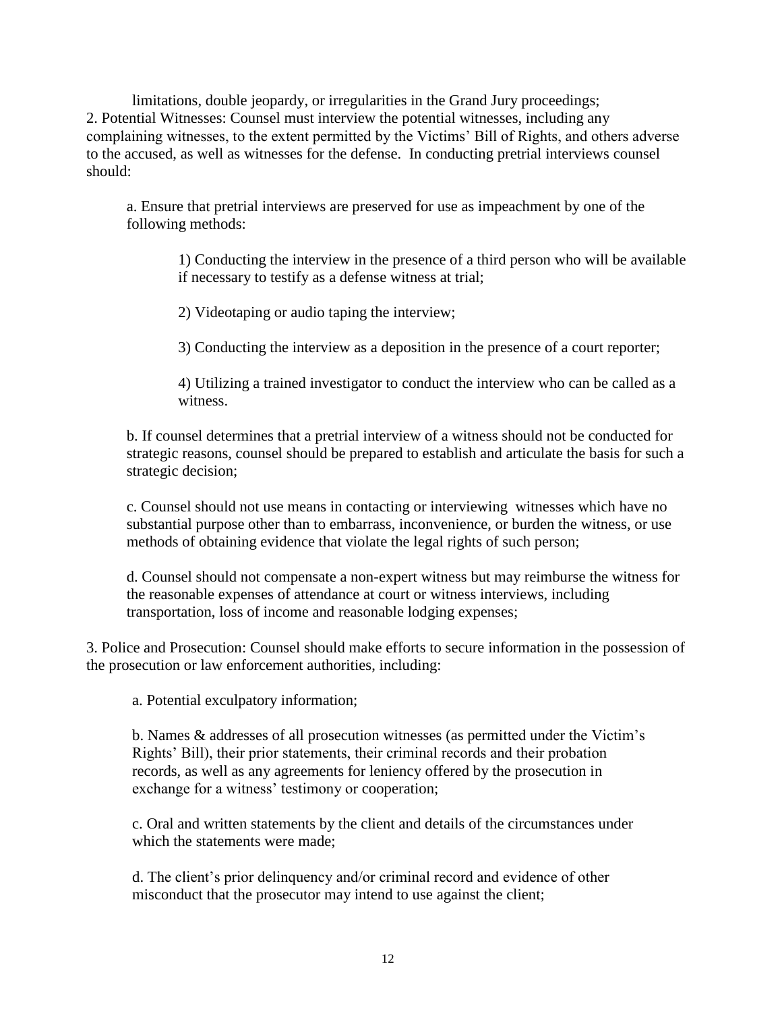limitations, double jeopardy, or irregularities in the Grand Jury proceedings; 2. Potential Witnesses: Counsel must interview the potential witnesses, including any complaining witnesses, to the extent permitted by the Victims' Bill of Rights, and others adverse to the accused, as well as witnesses for the defense. In conducting pretrial interviews counsel should:

a. Ensure that pretrial interviews are preserved for use as impeachment by one of the following methods:

1) Conducting the interview in the presence of a third person who will be available if necessary to testify as a defense witness at trial;

2) Videotaping or audio taping the interview;

3) Conducting the interview as a deposition in the presence of a court reporter;

4) Utilizing a trained investigator to conduct the interview who can be called as a witness.

b. If counsel determines that a pretrial interview of a witness should not be conducted for strategic reasons, counsel should be prepared to establish and articulate the basis for such a strategic decision;

c. Counsel should not use means in contacting or interviewing witnesses which have no substantial purpose other than to embarrass, inconvenience, or burden the witness, or use methods of obtaining evidence that violate the legal rights of such person;

d. Counsel should not compensate a non-expert witness but may reimburse the witness for the reasonable expenses of attendance at court or witness interviews, including transportation, loss of income and reasonable lodging expenses;

3. Police and Prosecution: Counsel should make efforts to secure information in the possession of the prosecution or law enforcement authorities, including:

a. Potential exculpatory information;

b. Names & addresses of all prosecution witnesses (as permitted under the Victim's Rights' Bill), their prior statements, their criminal records and their probation records, as well as any agreements for leniency offered by the prosecution in exchange for a witness' testimony or cooperation;

c. Oral and written statements by the client and details of the circumstances under which the statements were made;

d. The client's prior delinquency and/or criminal record and evidence of other misconduct that the prosecutor may intend to use against the client;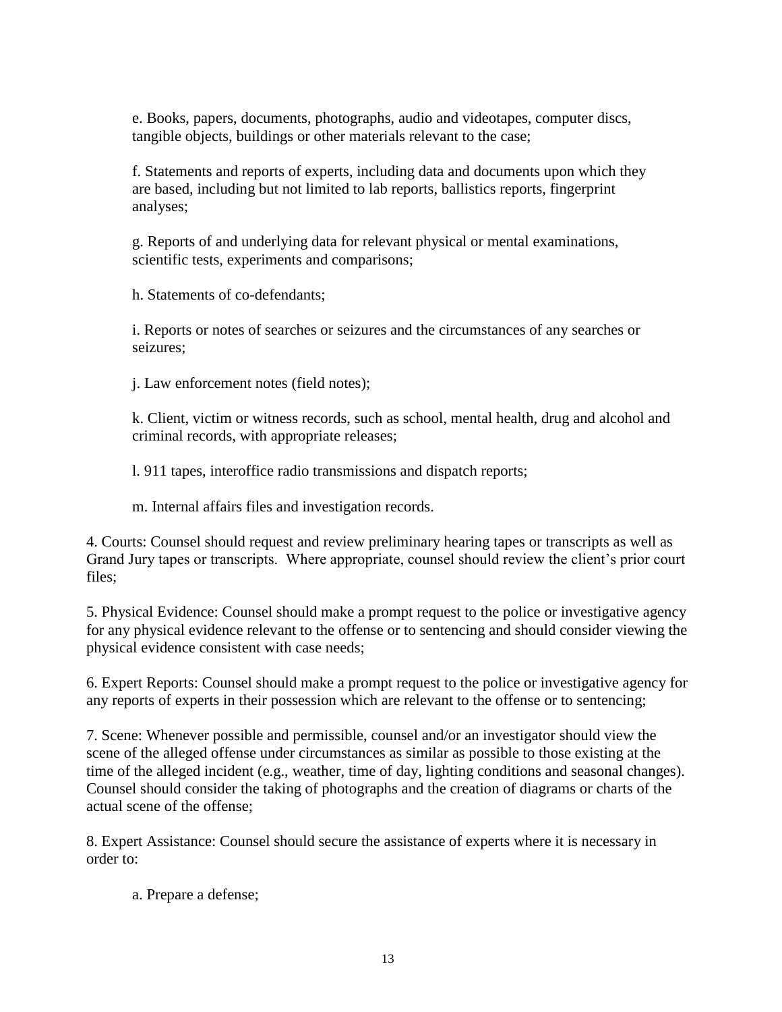e. Books, papers, documents, photographs, audio and videotapes, computer discs, tangible objects, buildings or other materials relevant to the case;

f. Statements and reports of experts, including data and documents upon which they are based, including but not limited to lab reports, ballistics reports, fingerprint analyses;

g. Reports of and underlying data for relevant physical or mental examinations, scientific tests, experiments and comparisons;

h. Statements of co-defendants;

i. Reports or notes of searches or seizures and the circumstances of any searches or seizures;

j. Law enforcement notes (field notes);

k. Client, victim or witness records, such as school, mental health, drug and alcohol and criminal records, with appropriate releases;

l. 911 tapes, interoffice radio transmissions and dispatch reports;

m. Internal affairs files and investigation records.

4. Courts: Counsel should request and review preliminary hearing tapes or transcripts as well as Grand Jury tapes or transcripts. Where appropriate, counsel should review the client's prior court files;

5. Physical Evidence: Counsel should make a prompt request to the police or investigative agency for any physical evidence relevant to the offense or to sentencing and should consider viewing the physical evidence consistent with case needs;

6. Expert Reports: Counsel should make a prompt request to the police or investigative agency for any reports of experts in their possession which are relevant to the offense or to sentencing;

7. Scene: Whenever possible and permissible, counsel and/or an investigator should view the scene of the alleged offense under circumstances as similar as possible to those existing at the time of the alleged incident (e.g., weather, time of day, lighting conditions and seasonal changes). Counsel should consider the taking of photographs and the creation of diagrams or charts of the actual scene of the offense;

8. Expert Assistance: Counsel should secure the assistance of experts where it is necessary in order to:

a. Prepare a defense;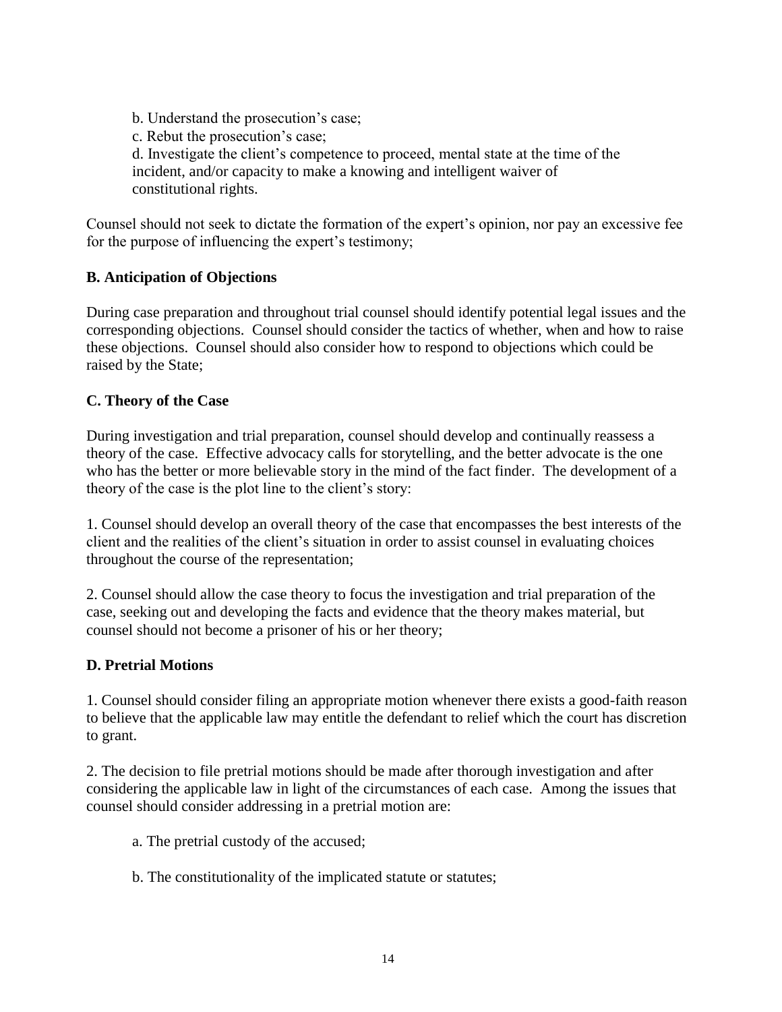b. Understand the prosecution's case; c. Rebut the prosecution's case; d. Investigate the client's competence to proceed, mental state at the time of the incident, and/or capacity to make a knowing and intelligent waiver of constitutional rights.

Counsel should not seek to dictate the formation of the expert's opinion, nor pay an excessive fee for the purpose of influencing the expert's testimony;

#### **B. Anticipation of Objections**

During case preparation and throughout trial counsel should identify potential legal issues and the corresponding objections. Counsel should consider the tactics of whether, when and how to raise these objections. Counsel should also consider how to respond to objections which could be raised by the State;

#### **C. Theory of the Case**

During investigation and trial preparation, counsel should develop and continually reassess a theory of the case. Effective advocacy calls for storytelling, and the better advocate is the one who has the better or more believable story in the mind of the fact finder. The development of a theory of the case is the plot line to the client's story:

1. Counsel should develop an overall theory of the case that encompasses the best interests of the client and the realities of the client's situation in order to assist counsel in evaluating choices throughout the course of the representation;

2. Counsel should allow the case theory to focus the investigation and trial preparation of the case, seeking out and developing the facts and evidence that the theory makes material, but counsel should not become a prisoner of his or her theory;

#### **D. Pretrial Motions**

1. Counsel should consider filing an appropriate motion whenever there exists a good-faith reason to believe that the applicable law may entitle the defendant to relief which the court has discretion to grant.

2. The decision to file pretrial motions should be made after thorough investigation and after considering the applicable law in light of the circumstances of each case. Among the issues that counsel should consider addressing in a pretrial motion are:

- a. The pretrial custody of the accused;
- b. The constitutionality of the implicated statute or statutes;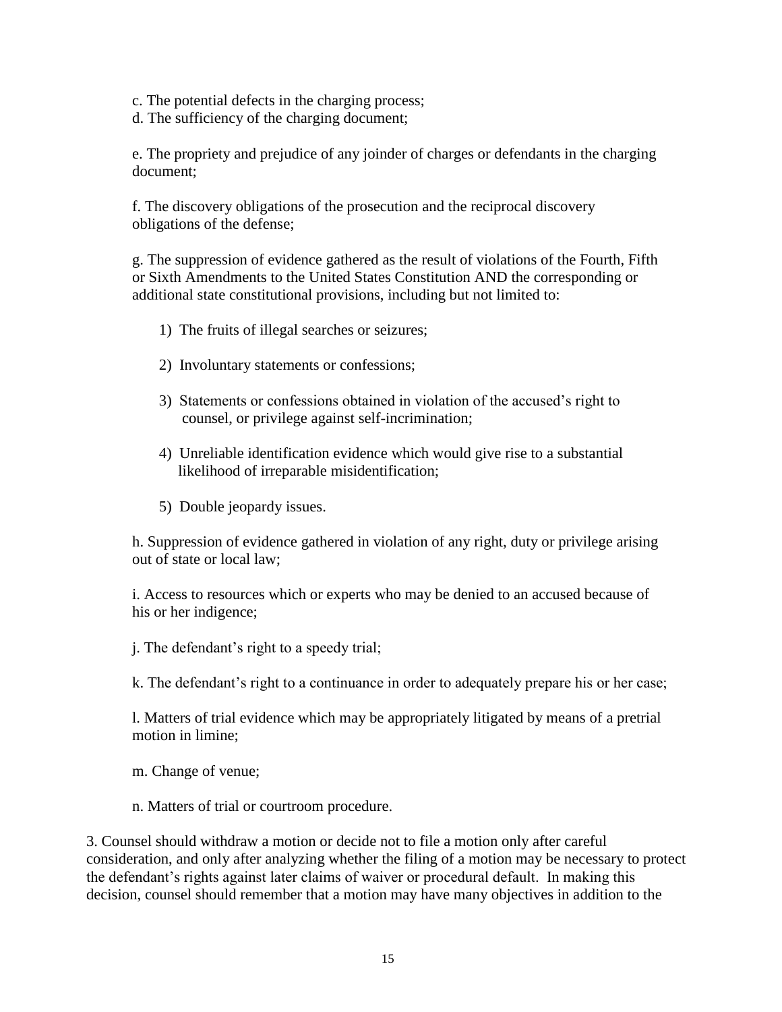- c. The potential defects in the charging process;
- d. The sufficiency of the charging document;

e. The propriety and prejudice of any joinder of charges or defendants in the charging document;

f. The discovery obligations of the prosecution and the reciprocal discovery obligations of the defense;

g. The suppression of evidence gathered as the result of violations of the Fourth, Fifth or Sixth Amendments to the United States Constitution AND the corresponding or additional state constitutional provisions, including but not limited to:

- 1) The fruits of illegal searches or seizures;
- 2) Involuntary statements or confessions;
- 3) Statements or confessions obtained in violation of the accused's right to counsel, or privilege against self-incrimination;
- 4) Unreliable identification evidence which would give rise to a substantial likelihood of irreparable misidentification;
- 5) Double jeopardy issues.

h. Suppression of evidence gathered in violation of any right, duty or privilege arising out of state or local law;

i. Access to resources which or experts who may be denied to an accused because of his or her indigence;

j. The defendant's right to a speedy trial;

k. The defendant's right to a continuance in order to adequately prepare his or her case;

l. Matters of trial evidence which may be appropriately litigated by means of a pretrial motion in limine;

m. Change of venue;

n. Matters of trial or courtroom procedure.

3. Counsel should withdraw a motion or decide not to file a motion only after careful consideration, and only after analyzing whether the filing of a motion may be necessary to protect the defendant's rights against later claims of waiver or procedural default. In making this decision, counsel should remember that a motion may have many objectives in addition to the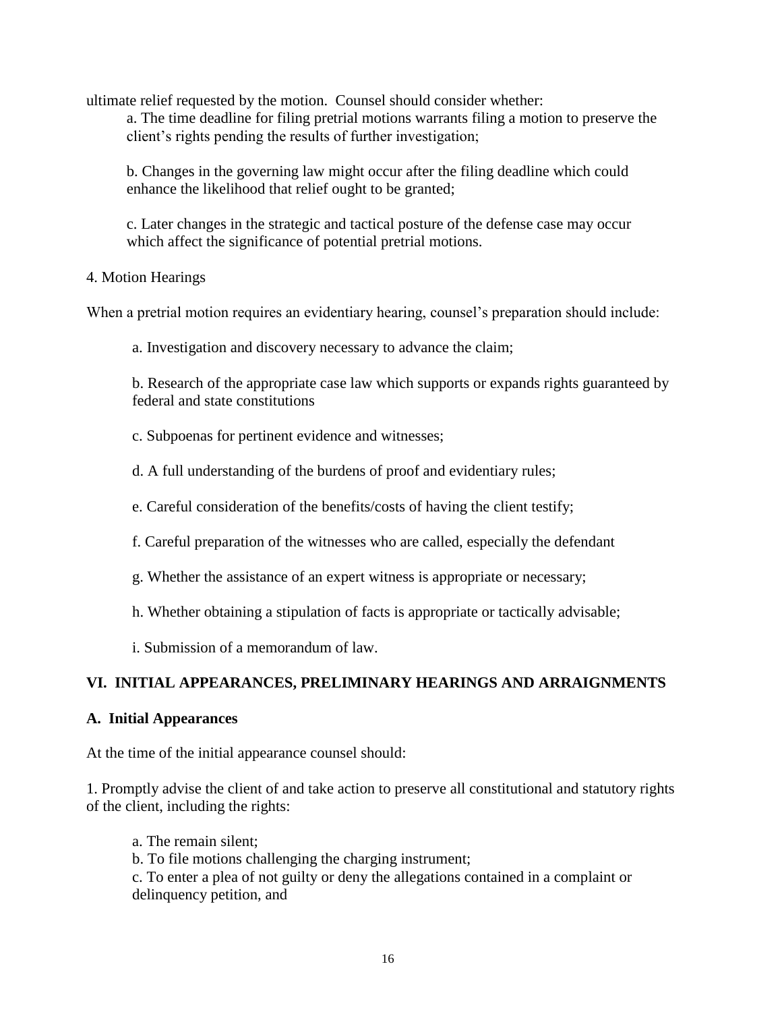ultimate relief requested by the motion. Counsel should consider whether:

a. The time deadline for filing pretrial motions warrants filing a motion to preserve the client's rights pending the results of further investigation;

b. Changes in the governing law might occur after the filing deadline which could enhance the likelihood that relief ought to be granted;

c. Later changes in the strategic and tactical posture of the defense case may occur which affect the significance of potential pretrial motions.

#### 4. Motion Hearings

When a pretrial motion requires an evidentiary hearing, counsel's preparation should include:

a. Investigation and discovery necessary to advance the claim;

b. Research of the appropriate case law which supports or expands rights guaranteed by federal and state constitutions

c. Subpoenas for pertinent evidence and witnesses;

d. A full understanding of the burdens of proof and evidentiary rules;

e. Careful consideration of the benefits/costs of having the client testify;

f. Careful preparation of the witnesses who are called, especially the defendant

- g. Whether the assistance of an expert witness is appropriate or necessary;
- h. Whether obtaining a stipulation of facts is appropriate or tactically advisable;
- i. Submission of a memorandum of law.

#### **VI. INITIAL APPEARANCES, PRELIMINARY HEARINGS AND ARRAIGNMENTS**

#### **A. Initial Appearances**

At the time of the initial appearance counsel should:

1. Promptly advise the client of and take action to preserve all constitutional and statutory rights of the client, including the rights:

- a. The remain silent;
- b. To file motions challenging the charging instrument;

c. To enter a plea of not guilty or deny the allegations contained in a complaint or delinquency petition, and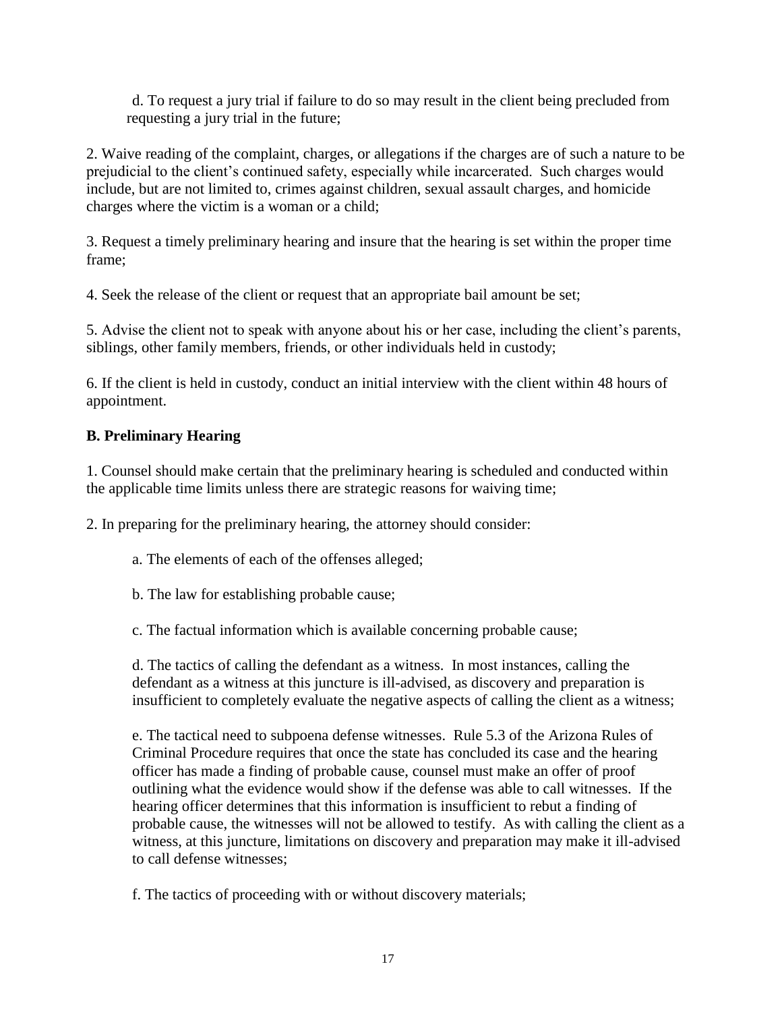d. To request a jury trial if failure to do so may result in the client being precluded from requesting a jury trial in the future;

2. Waive reading of the complaint, charges, or allegations if the charges are of such a nature to be prejudicial to the client's continued safety, especially while incarcerated. Such charges would include, but are not limited to, crimes against children, sexual assault charges, and homicide charges where the victim is a woman or a child;

3. Request a timely preliminary hearing and insure that the hearing is set within the proper time frame;

4. Seek the release of the client or request that an appropriate bail amount be set;

5. Advise the client not to speak with anyone about his or her case, including the client's parents, siblings, other family members, friends, or other individuals held in custody;

6. If the client is held in custody, conduct an initial interview with the client within 48 hours of appointment.

# **B. Preliminary Hearing**

1. Counsel should make certain that the preliminary hearing is scheduled and conducted within the applicable time limits unless there are strategic reasons for waiving time;

2. In preparing for the preliminary hearing, the attorney should consider:

- a. The elements of each of the offenses alleged;
- b. The law for establishing probable cause;
- c. The factual information which is available concerning probable cause;

d. The tactics of calling the defendant as a witness. In most instances, calling the defendant as a witness at this juncture is ill-advised, as discovery and preparation is insufficient to completely evaluate the negative aspects of calling the client as a witness;

e. The tactical need to subpoena defense witnesses. Rule 5.3 of the Arizona Rules of Criminal Procedure requires that once the state has concluded its case and the hearing officer has made a finding of probable cause, counsel must make an offer of proof outlining what the evidence would show if the defense was able to call witnesses. If the hearing officer determines that this information is insufficient to rebut a finding of probable cause, the witnesses will not be allowed to testify. As with calling the client as a witness, at this juncture, limitations on discovery and preparation may make it ill-advised to call defense witnesses;

f. The tactics of proceeding with or without discovery materials;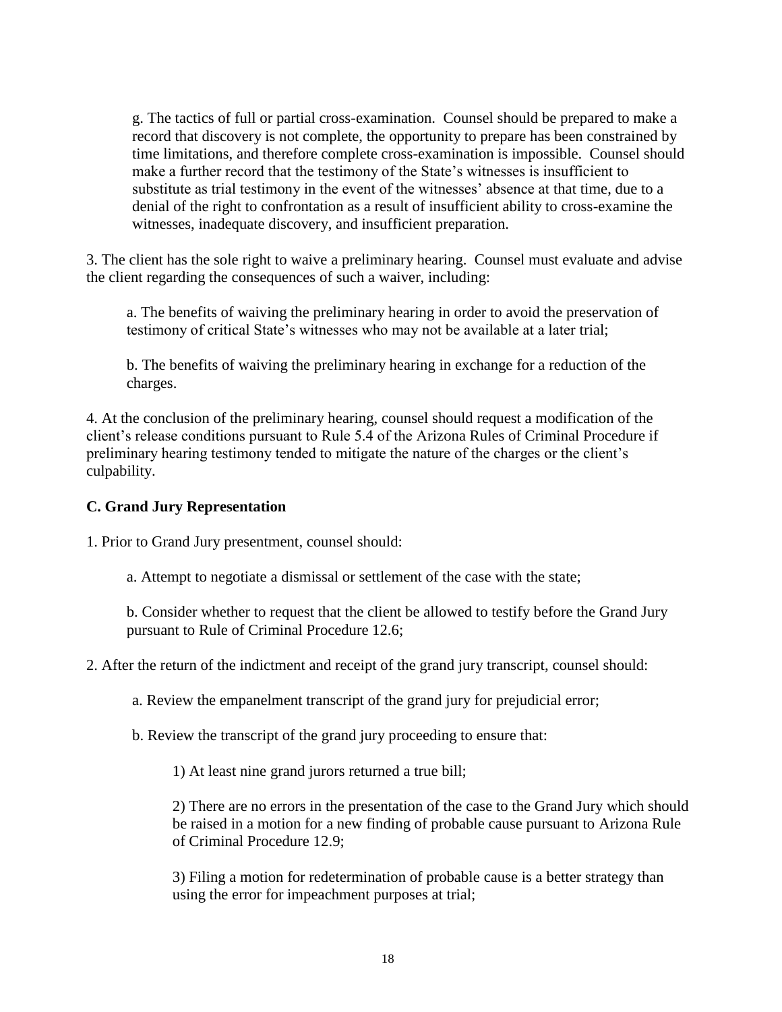g. The tactics of full or partial cross-examination. Counsel should be prepared to make a record that discovery is not complete, the opportunity to prepare has been constrained by time limitations, and therefore complete cross-examination is impossible. Counsel should make a further record that the testimony of the State's witnesses is insufficient to substitute as trial testimony in the event of the witnesses' absence at that time, due to a denial of the right to confrontation as a result of insufficient ability to cross-examine the witnesses, inadequate discovery, and insufficient preparation.

3. The client has the sole right to waive a preliminary hearing. Counsel must evaluate and advise the client regarding the consequences of such a waiver, including:

a. The benefits of waiving the preliminary hearing in order to avoid the preservation of testimony of critical State's witnesses who may not be available at a later trial;

b. The benefits of waiving the preliminary hearing in exchange for a reduction of the charges.

4. At the conclusion of the preliminary hearing, counsel should request a modification of the client's release conditions pursuant to Rule 5.4 of the Arizona Rules of Criminal Procedure if preliminary hearing testimony tended to mitigate the nature of the charges or the client's culpability.

#### **C. Grand Jury Representation**

1. Prior to Grand Jury presentment, counsel should:

a. Attempt to negotiate a dismissal or settlement of the case with the state;

b. Consider whether to request that the client be allowed to testify before the Grand Jury pursuant to Rule of Criminal Procedure 12.6;

2. After the return of the indictment and receipt of the grand jury transcript, counsel should:

a. Review the empanelment transcript of the grand jury for prejudicial error;

b. Review the transcript of the grand jury proceeding to ensure that:

1) At least nine grand jurors returned a true bill;

2) There are no errors in the presentation of the case to the Grand Jury which should be raised in a motion for a new finding of probable cause pursuant to Arizona Rule of Criminal Procedure 12.9;

3) Filing a motion for redetermination of probable cause is a better strategy than using the error for impeachment purposes at trial;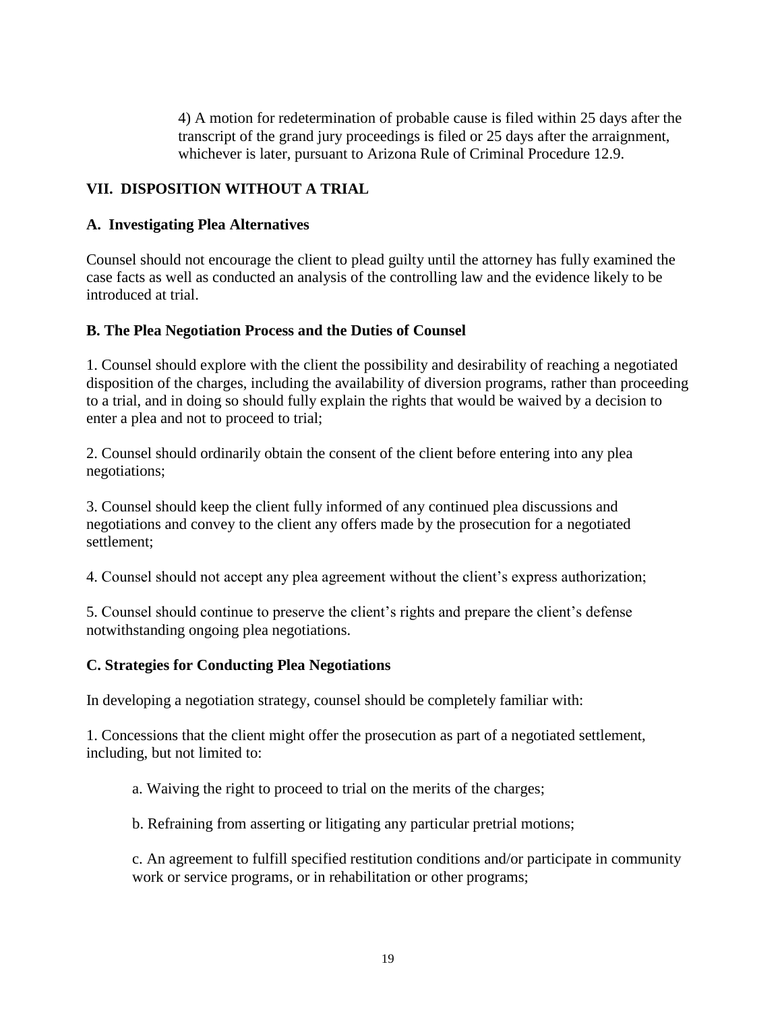4) A motion for redetermination of probable cause is filed within 25 days after the transcript of the grand jury proceedings is filed or 25 days after the arraignment, whichever is later, pursuant to Arizona Rule of Criminal Procedure 12.9.

#### **VII. DISPOSITION WITHOUT A TRIAL**

#### **A. Investigating Plea Alternatives**

Counsel should not encourage the client to plead guilty until the attorney has fully examined the case facts as well as conducted an analysis of the controlling law and the evidence likely to be introduced at trial.

#### **B. The Plea Negotiation Process and the Duties of Counsel**

1. Counsel should explore with the client the possibility and desirability of reaching a negotiated disposition of the charges, including the availability of diversion programs, rather than proceeding to a trial, and in doing so should fully explain the rights that would be waived by a decision to enter a plea and not to proceed to trial;

2. Counsel should ordinarily obtain the consent of the client before entering into any plea negotiations;

3. Counsel should keep the client fully informed of any continued plea discussions and negotiations and convey to the client any offers made by the prosecution for a negotiated settlement;

4. Counsel should not accept any plea agreement without the client's express authorization;

5. Counsel should continue to preserve the client's rights and prepare the client's defense notwithstanding ongoing plea negotiations.

#### **C. Strategies for Conducting Plea Negotiations**

In developing a negotiation strategy, counsel should be completely familiar with:

1. Concessions that the client might offer the prosecution as part of a negotiated settlement, including, but not limited to:

a. Waiving the right to proceed to trial on the merits of the charges;

b. Refraining from asserting or litigating any particular pretrial motions;

c. An agreement to fulfill specified restitution conditions and/or participate in community work or service programs, or in rehabilitation or other programs;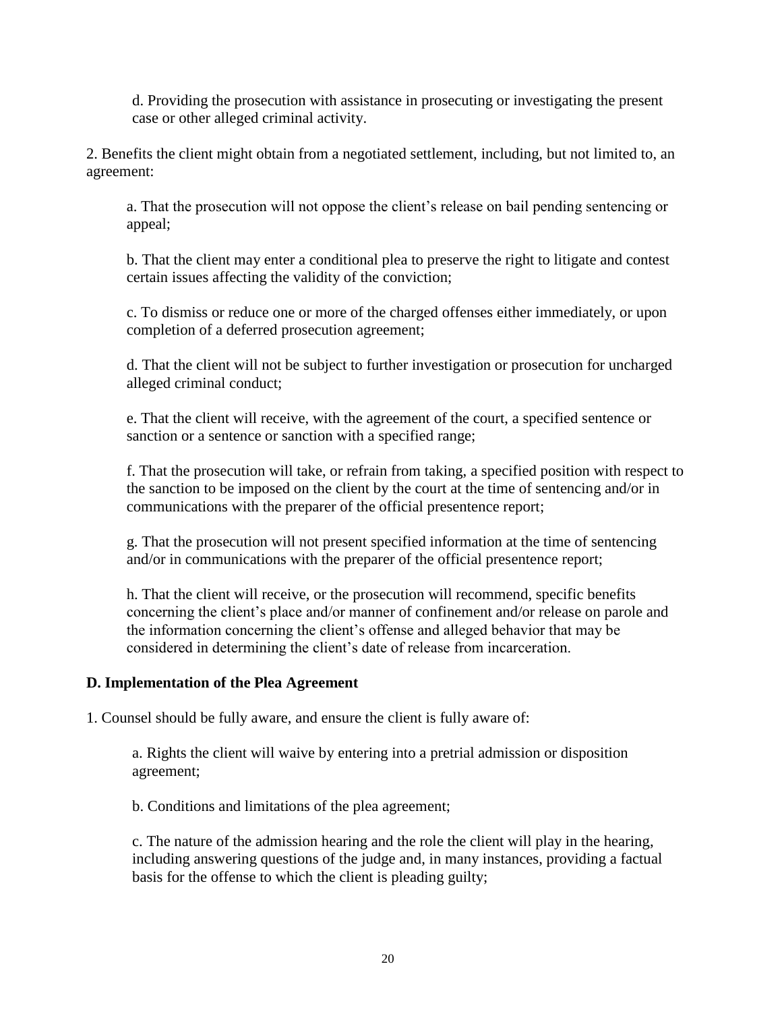d. Providing the prosecution with assistance in prosecuting or investigating the present case or other alleged criminal activity.

2. Benefits the client might obtain from a negotiated settlement, including, but not limited to, an agreement:

a. That the prosecution will not oppose the client's release on bail pending sentencing or appeal;

b. That the client may enter a conditional plea to preserve the right to litigate and contest certain issues affecting the validity of the conviction;

c. To dismiss or reduce one or more of the charged offenses either immediately, or upon completion of a deferred prosecution agreement;

d. That the client will not be subject to further investigation or prosecution for uncharged alleged criminal conduct;

e. That the client will receive, with the agreement of the court, a specified sentence or sanction or a sentence or sanction with a specified range;

f. That the prosecution will take, or refrain from taking, a specified position with respect to the sanction to be imposed on the client by the court at the time of sentencing and/or in communications with the preparer of the official presentence report;

g. That the prosecution will not present specified information at the time of sentencing and/or in communications with the preparer of the official presentence report;

h. That the client will receive, or the prosecution will recommend, specific benefits concerning the client's place and/or manner of confinement and/or release on parole and the information concerning the client's offense and alleged behavior that may be considered in determining the client's date of release from incarceration.

#### **D. Implementation of the Plea Agreement**

1. Counsel should be fully aware, and ensure the client is fully aware of:

a. Rights the client will waive by entering into a pretrial admission or disposition agreement;

b. Conditions and limitations of the plea agreement;

c. The nature of the admission hearing and the role the client will play in the hearing, including answering questions of the judge and, in many instances, providing a factual basis for the offense to which the client is pleading guilty;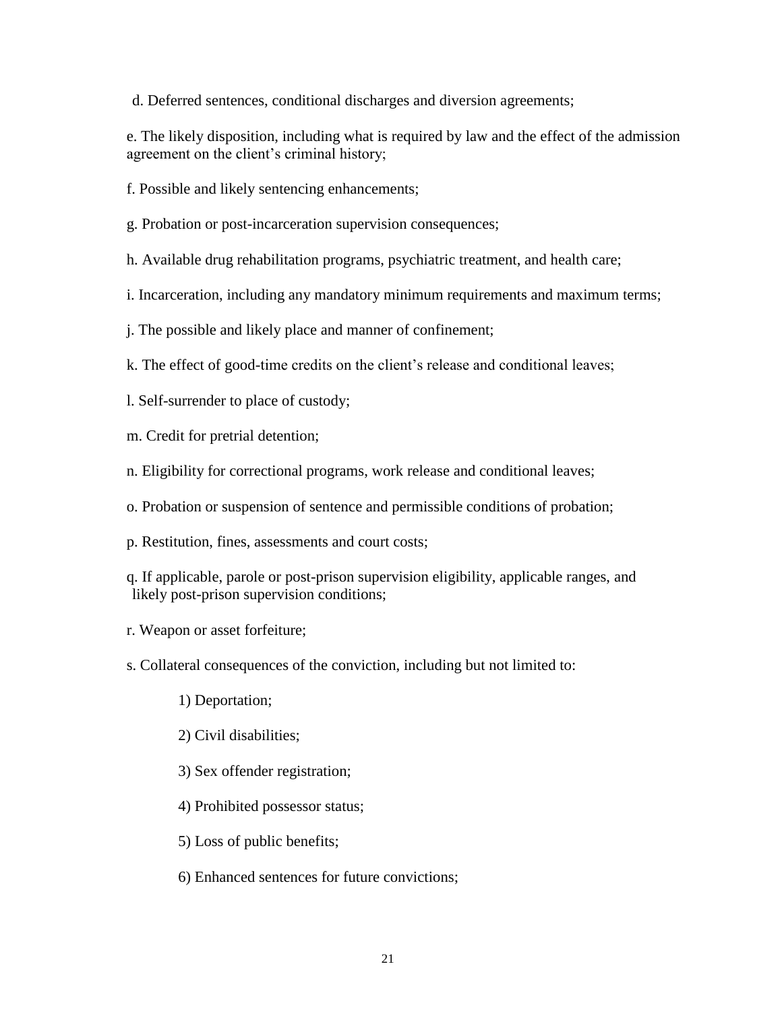d. Deferred sentences, conditional discharges and diversion agreements;

e. The likely disposition, including what is required by law and the effect of the admission agreement on the client's criminal history;

f. Possible and likely sentencing enhancements;

- g. Probation or post-incarceration supervision consequences;
- h. Available drug rehabilitation programs, psychiatric treatment, and health care;
- i. Incarceration, including any mandatory minimum requirements and maximum terms;
- j. The possible and likely place and manner of confinement;
- k. The effect of good-time credits on the client's release and conditional leaves;
- l. Self-surrender to place of custody;
- m. Credit for pretrial detention;
- n. Eligibility for correctional programs, work release and conditional leaves;
- o. Probation or suspension of sentence and permissible conditions of probation;
- p. Restitution, fines, assessments and court costs;
- q. If applicable, parole or post-prison supervision eligibility, applicable ranges, and likely post-prison supervision conditions;
- r. Weapon or asset forfeiture;
- s. Collateral consequences of the conviction, including but not limited to:
	- 1) Deportation;
	- 2) Civil disabilities;
	- 3) Sex offender registration;
	- 4) Prohibited possessor status;
	- 5) Loss of public benefits;
	- 6) Enhanced sentences for future convictions;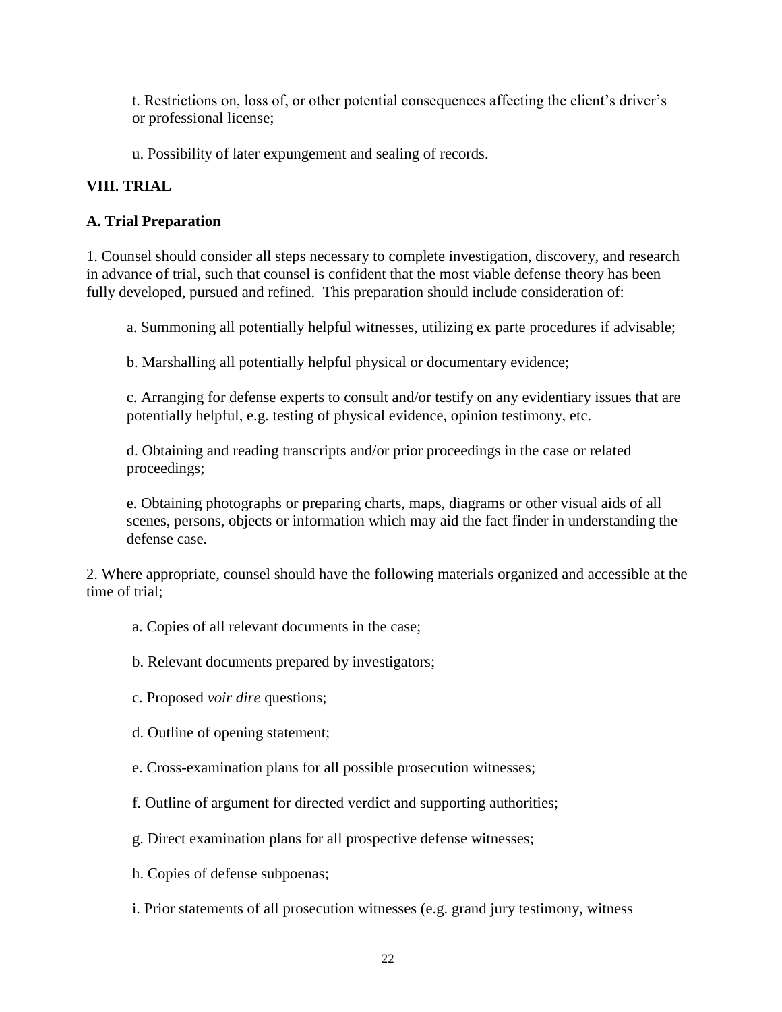t. Restrictions on, loss of, or other potential consequences affecting the client's driver's or professional license;

u. Possibility of later expungement and sealing of records.

# **VIII. TRIAL**

# **A. Trial Preparation**

1. Counsel should consider all steps necessary to complete investigation, discovery, and research in advance of trial, such that counsel is confident that the most viable defense theory has been fully developed, pursued and refined. This preparation should include consideration of:

a. Summoning all potentially helpful witnesses, utilizing ex parte procedures if advisable;

b. Marshalling all potentially helpful physical or documentary evidence;

c. Arranging for defense experts to consult and/or testify on any evidentiary issues that are potentially helpful, e.g. testing of physical evidence, opinion testimony, etc.

d. Obtaining and reading transcripts and/or prior proceedings in the case or related proceedings;

e. Obtaining photographs or preparing charts, maps, diagrams or other visual aids of all scenes, persons, objects or information which may aid the fact finder in understanding the defense case.

2. Where appropriate, counsel should have the following materials organized and accessible at the time of trial;

- a. Copies of all relevant documents in the case;
- b. Relevant documents prepared by investigators;
- c. Proposed *voir dire* questions;
- d. Outline of opening statement;
- e. Cross-examination plans for all possible prosecution witnesses;
- f. Outline of argument for directed verdict and supporting authorities;
- g. Direct examination plans for all prospective defense witnesses;
- h. Copies of defense subpoenas;
- i. Prior statements of all prosecution witnesses (e.g. grand jury testimony, witness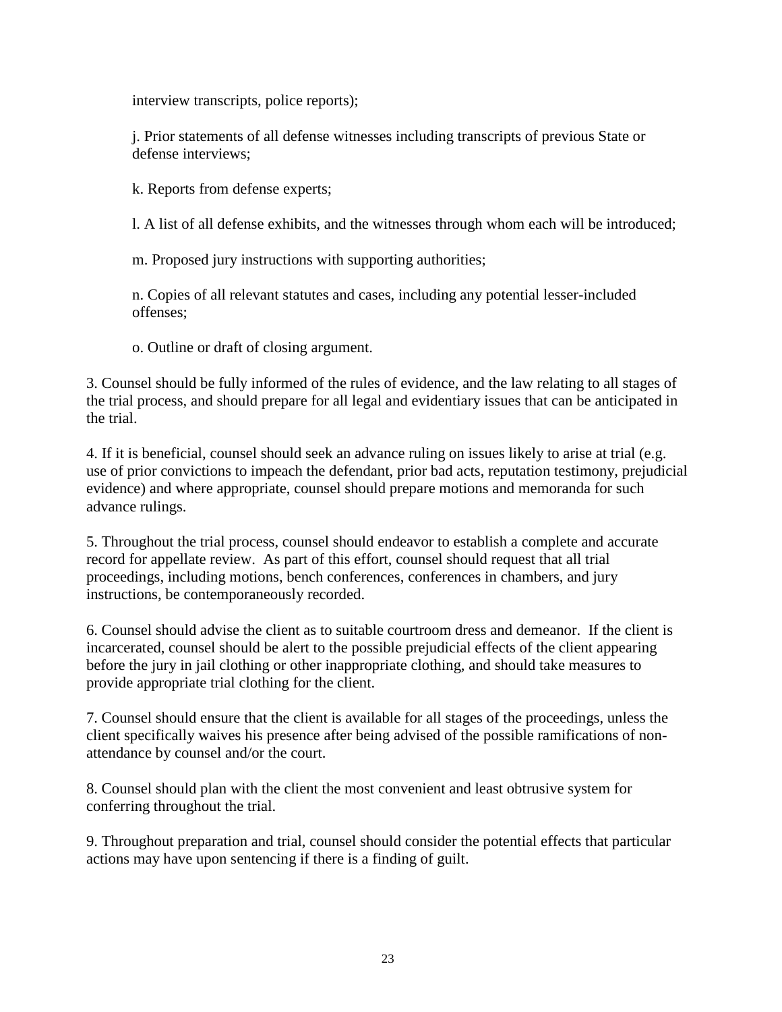interview transcripts, police reports);

j. Prior statements of all defense witnesses including transcripts of previous State or defense interviews;

k. Reports from defense experts;

l. A list of all defense exhibits, and the witnesses through whom each will be introduced;

m. Proposed jury instructions with supporting authorities;

n. Copies of all relevant statutes and cases, including any potential lesser-included offenses;

o. Outline or draft of closing argument.

3. Counsel should be fully informed of the rules of evidence, and the law relating to all stages of the trial process, and should prepare for all legal and evidentiary issues that can be anticipated in the trial.

4. If it is beneficial, counsel should seek an advance ruling on issues likely to arise at trial (e.g. use of prior convictions to impeach the defendant, prior bad acts, reputation testimony, prejudicial evidence) and where appropriate, counsel should prepare motions and memoranda for such advance rulings.

5. Throughout the trial process, counsel should endeavor to establish a complete and accurate record for appellate review. As part of this effort, counsel should request that all trial proceedings, including motions, bench conferences, conferences in chambers, and jury instructions, be contemporaneously recorded.

6. Counsel should advise the client as to suitable courtroom dress and demeanor. If the client is incarcerated, counsel should be alert to the possible prejudicial effects of the client appearing before the jury in jail clothing or other inappropriate clothing, and should take measures to provide appropriate trial clothing for the client.

7. Counsel should ensure that the client is available for all stages of the proceedings, unless the client specifically waives his presence after being advised of the possible ramifications of nonattendance by counsel and/or the court.

8. Counsel should plan with the client the most convenient and least obtrusive system for conferring throughout the trial.

9. Throughout preparation and trial, counsel should consider the potential effects that particular actions may have upon sentencing if there is a finding of guilt.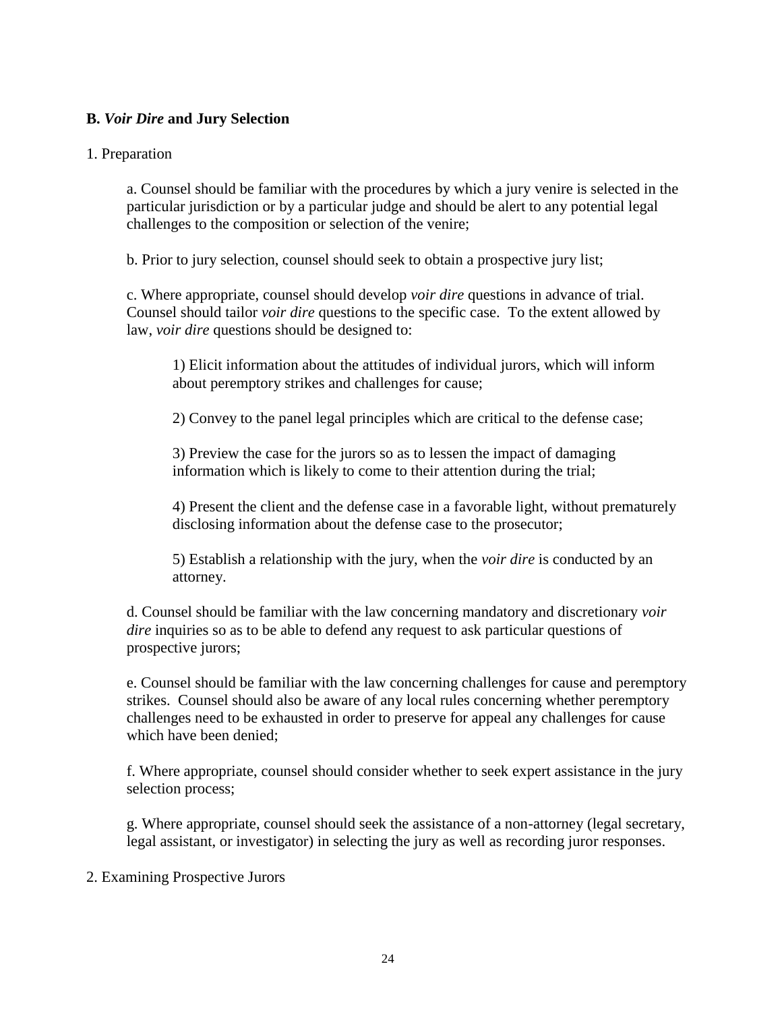#### **B.** *Voir Dire* **and Jury Selection**

#### 1. Preparation

a. Counsel should be familiar with the procedures by which a jury venire is selected in the particular jurisdiction or by a particular judge and should be alert to any potential legal challenges to the composition or selection of the venire;

b. Prior to jury selection, counsel should seek to obtain a prospective jury list;

c. Where appropriate, counsel should develop *voir dire* questions in advance of trial. Counsel should tailor *voir dire* questions to the specific case. To the extent allowed by law, *voir dire* questions should be designed to:

1) Elicit information about the attitudes of individual jurors, which will inform about peremptory strikes and challenges for cause;

2) Convey to the panel legal principles which are critical to the defense case;

3) Preview the case for the jurors so as to lessen the impact of damaging information which is likely to come to their attention during the trial;

4) Present the client and the defense case in a favorable light, without prematurely disclosing information about the defense case to the prosecutor;

5) Establish a relationship with the jury, when the *voir dire* is conducted by an attorney.

d. Counsel should be familiar with the law concerning mandatory and discretionary *voir dire* inquiries so as to be able to defend any request to ask particular questions of prospective jurors;

e. Counsel should be familiar with the law concerning challenges for cause and peremptory strikes. Counsel should also be aware of any local rules concerning whether peremptory challenges need to be exhausted in order to preserve for appeal any challenges for cause which have been denied;

f. Where appropriate, counsel should consider whether to seek expert assistance in the jury selection process;

g. Where appropriate, counsel should seek the assistance of a non-attorney (legal secretary, legal assistant, or investigator) in selecting the jury as well as recording juror responses.

#### 2. Examining Prospective Jurors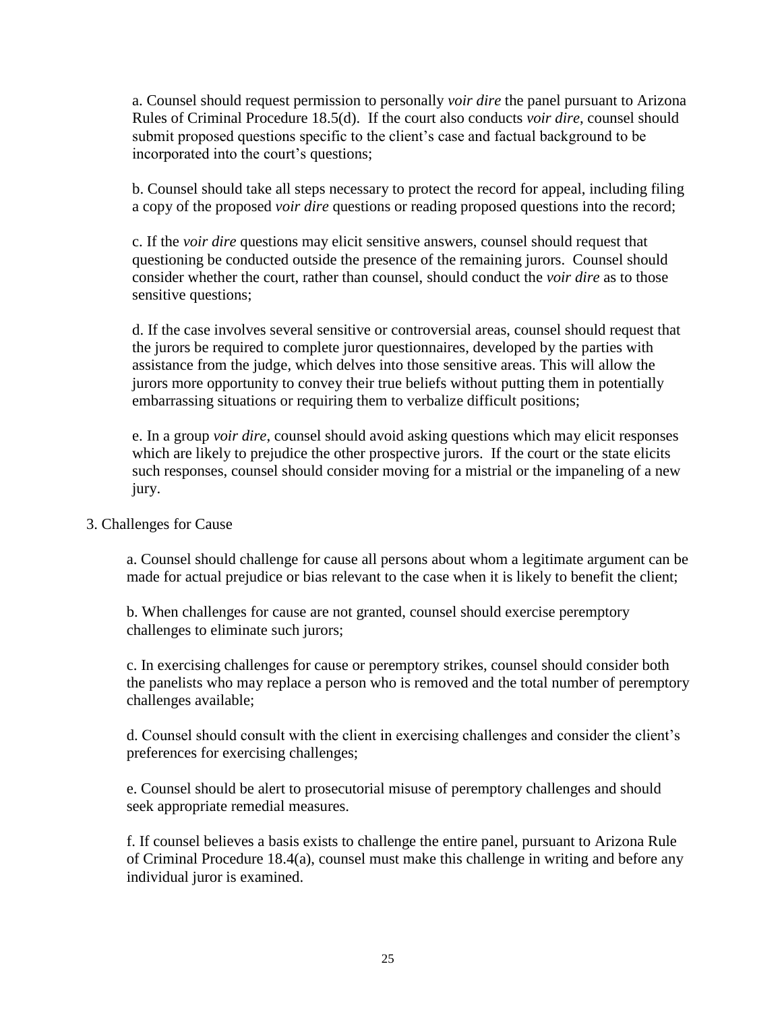a. Counsel should request permission to personally *voir dire* the panel pursuant to Arizona Rules of Criminal Procedure 18.5(d). If the court also conducts *voir dire*, counsel should submit proposed questions specific to the client's case and factual background to be incorporated into the court's questions;

b. Counsel should take all steps necessary to protect the record for appeal, including filing a copy of the proposed *voir dire* questions or reading proposed questions into the record;

c. If the *voir dire* questions may elicit sensitive answers, counsel should request that questioning be conducted outside the presence of the remaining jurors. Counsel should consider whether the court, rather than counsel, should conduct the *voir dire* as to those sensitive questions;

d. If the case involves several sensitive or controversial areas, counsel should request that the jurors be required to complete juror questionnaires, developed by the parties with assistance from the judge, which delves into those sensitive areas. This will allow the jurors more opportunity to convey their true beliefs without putting them in potentially embarrassing situations or requiring them to verbalize difficult positions;

e. In a group *voir dire*, counsel should avoid asking questions which may elicit responses which are likely to prejudice the other prospective jurors. If the court or the state elicits such responses, counsel should consider moving for a mistrial or the impaneling of a new jury.

3. Challenges for Cause

a. Counsel should challenge for cause all persons about whom a legitimate argument can be made for actual prejudice or bias relevant to the case when it is likely to benefit the client;

b. When challenges for cause are not granted, counsel should exercise peremptory challenges to eliminate such jurors;

c. In exercising challenges for cause or peremptory strikes, counsel should consider both the panelists who may replace a person who is removed and the total number of peremptory challenges available;

d. Counsel should consult with the client in exercising challenges and consider the client's preferences for exercising challenges;

e. Counsel should be alert to prosecutorial misuse of peremptory challenges and should seek appropriate remedial measures.

f. If counsel believes a basis exists to challenge the entire panel, pursuant to Arizona Rule of Criminal Procedure 18.4(a), counsel must make this challenge in writing and before any individual juror is examined.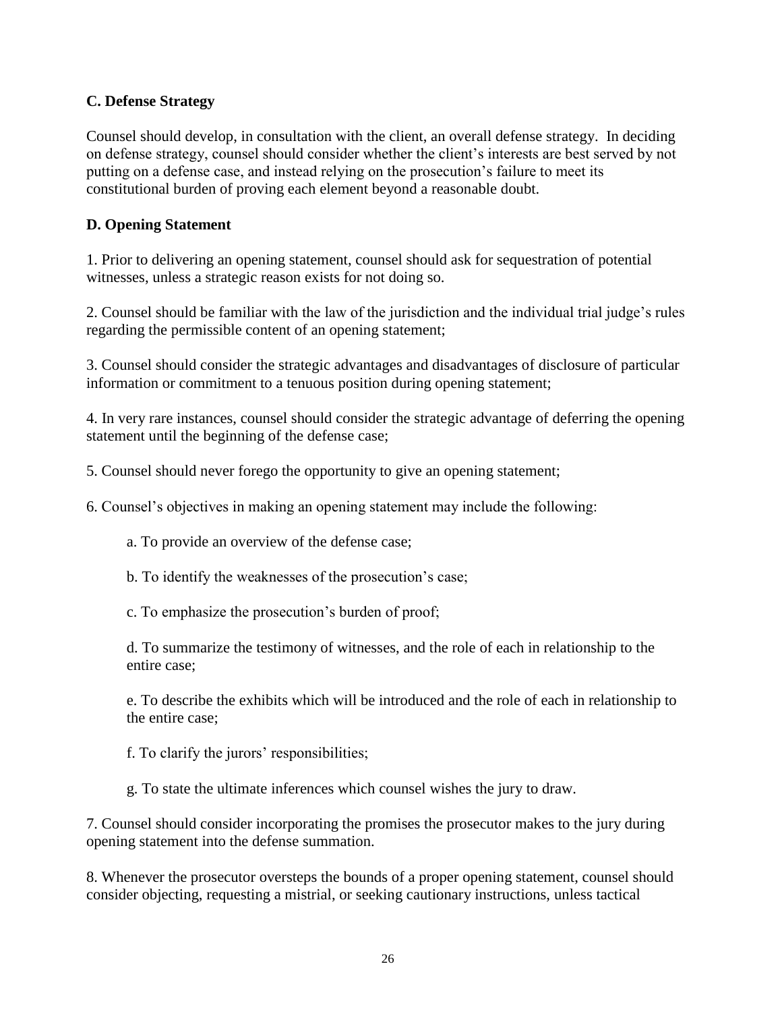#### **C. Defense Strategy**

Counsel should develop, in consultation with the client, an overall defense strategy. In deciding on defense strategy, counsel should consider whether the client's interests are best served by not putting on a defense case, and instead relying on the prosecution's failure to meet its constitutional burden of proving each element beyond a reasonable doubt.

#### **D. Opening Statement**

1. Prior to delivering an opening statement, counsel should ask for sequestration of potential witnesses, unless a strategic reason exists for not doing so.

2. Counsel should be familiar with the law of the jurisdiction and the individual trial judge's rules regarding the permissible content of an opening statement;

3. Counsel should consider the strategic advantages and disadvantages of disclosure of particular information or commitment to a tenuous position during opening statement;

4. In very rare instances, counsel should consider the strategic advantage of deferring the opening statement until the beginning of the defense case;

5. Counsel should never forego the opportunity to give an opening statement;

6. Counsel's objectives in making an opening statement may include the following:

a. To provide an overview of the defense case;

b. To identify the weaknesses of the prosecution's case;

c. To emphasize the prosecution's burden of proof;

d. To summarize the testimony of witnesses, and the role of each in relationship to the entire case;

e. To describe the exhibits which will be introduced and the role of each in relationship to the entire case;

f. To clarify the jurors' responsibilities;

g. To state the ultimate inferences which counsel wishes the jury to draw.

7. Counsel should consider incorporating the promises the prosecutor makes to the jury during opening statement into the defense summation.

8. Whenever the prosecutor oversteps the bounds of a proper opening statement, counsel should consider objecting, requesting a mistrial, or seeking cautionary instructions, unless tactical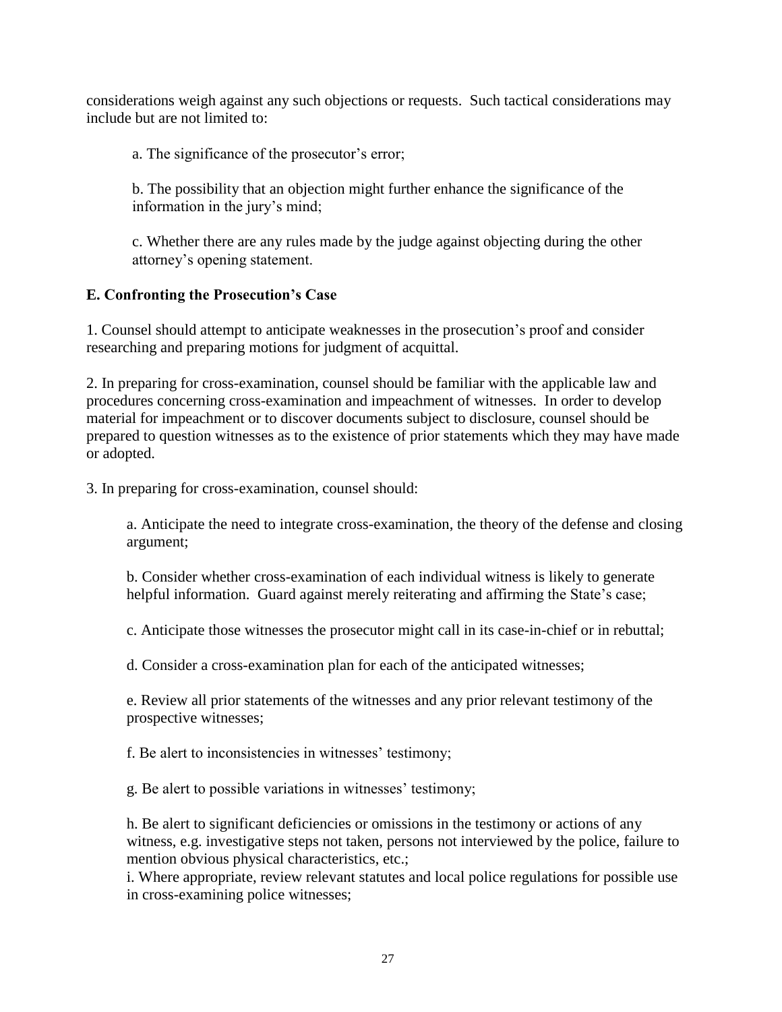considerations weigh against any such objections or requests. Such tactical considerations may include but are not limited to:

a. The significance of the prosecutor's error;

b. The possibility that an objection might further enhance the significance of the information in the jury's mind;

c. Whether there are any rules made by the judge against objecting during the other attorney's opening statement.

#### **E. Confronting the Prosecution's Case**

1. Counsel should attempt to anticipate weaknesses in the prosecution's proof and consider researching and preparing motions for judgment of acquittal.

2. In preparing for cross-examination, counsel should be familiar with the applicable law and procedures concerning cross-examination and impeachment of witnesses. In order to develop material for impeachment or to discover documents subject to disclosure, counsel should be prepared to question witnesses as to the existence of prior statements which they may have made or adopted.

3. In preparing for cross-examination, counsel should:

a. Anticipate the need to integrate cross-examination, the theory of the defense and closing argument;

b. Consider whether cross-examination of each individual witness is likely to generate helpful information. Guard against merely reiterating and affirming the State's case;

c. Anticipate those witnesses the prosecutor might call in its case-in-chief or in rebuttal;

d. Consider a cross-examination plan for each of the anticipated witnesses;

e. Review all prior statements of the witnesses and any prior relevant testimony of the prospective witnesses;

f. Be alert to inconsistencies in witnesses' testimony;

g. Be alert to possible variations in witnesses' testimony;

h. Be alert to significant deficiencies or omissions in the testimony or actions of any witness, e.g. investigative steps not taken, persons not interviewed by the police, failure to mention obvious physical characteristics, etc.;

i. Where appropriate, review relevant statutes and local police regulations for possible use in cross-examining police witnesses;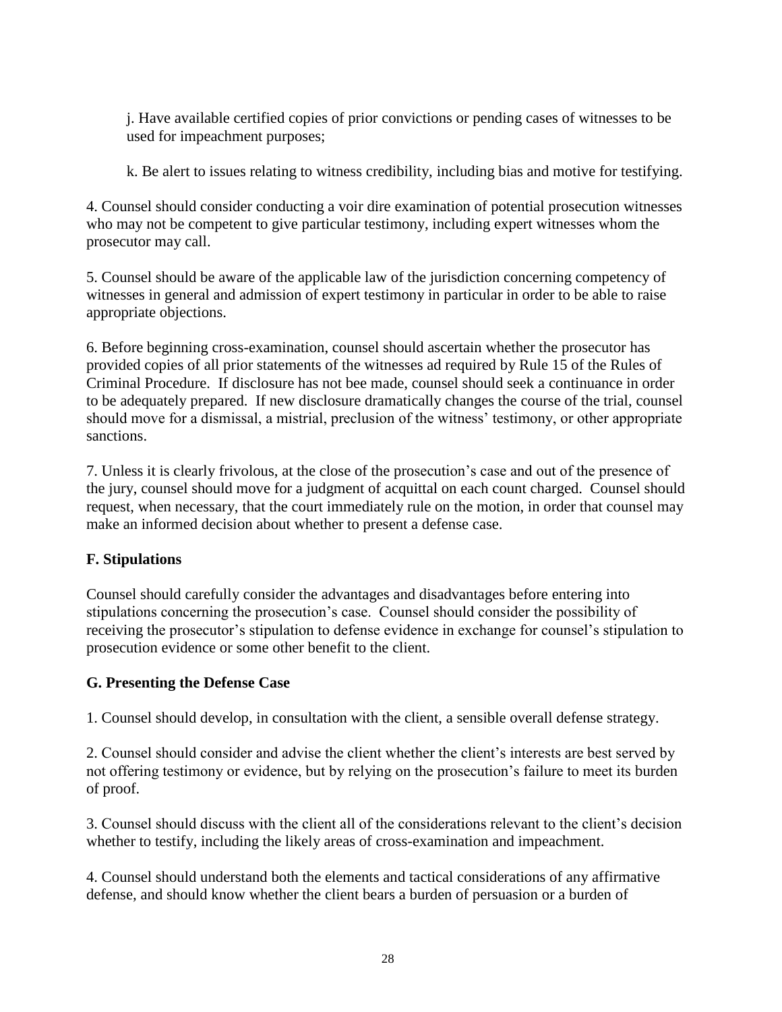j. Have available certified copies of prior convictions or pending cases of witnesses to be used for impeachment purposes;

k. Be alert to issues relating to witness credibility, including bias and motive for testifying.

4. Counsel should consider conducting a voir dire examination of potential prosecution witnesses who may not be competent to give particular testimony, including expert witnesses whom the prosecutor may call.

5. Counsel should be aware of the applicable law of the jurisdiction concerning competency of witnesses in general and admission of expert testimony in particular in order to be able to raise appropriate objections.

6. Before beginning cross-examination, counsel should ascertain whether the prosecutor has provided copies of all prior statements of the witnesses ad required by Rule 15 of the Rules of Criminal Procedure. If disclosure has not bee made, counsel should seek a continuance in order to be adequately prepared. If new disclosure dramatically changes the course of the trial, counsel should move for a dismissal, a mistrial, preclusion of the witness' testimony, or other appropriate sanctions.

7. Unless it is clearly frivolous, at the close of the prosecution's case and out of the presence of the jury, counsel should move for a judgment of acquittal on each count charged. Counsel should request, when necessary, that the court immediately rule on the motion, in order that counsel may make an informed decision about whether to present a defense case.

# **F. Stipulations**

Counsel should carefully consider the advantages and disadvantages before entering into stipulations concerning the prosecution's case. Counsel should consider the possibility of receiving the prosecutor's stipulation to defense evidence in exchange for counsel's stipulation to prosecution evidence or some other benefit to the client.

# **G. Presenting the Defense Case**

1. Counsel should develop, in consultation with the client, a sensible overall defense strategy.

2. Counsel should consider and advise the client whether the client's interests are best served by not offering testimony or evidence, but by relying on the prosecution's failure to meet its burden of proof.

3. Counsel should discuss with the client all of the considerations relevant to the client's decision whether to testify, including the likely areas of cross-examination and impeachment.

4. Counsel should understand both the elements and tactical considerations of any affirmative defense, and should know whether the client bears a burden of persuasion or a burden of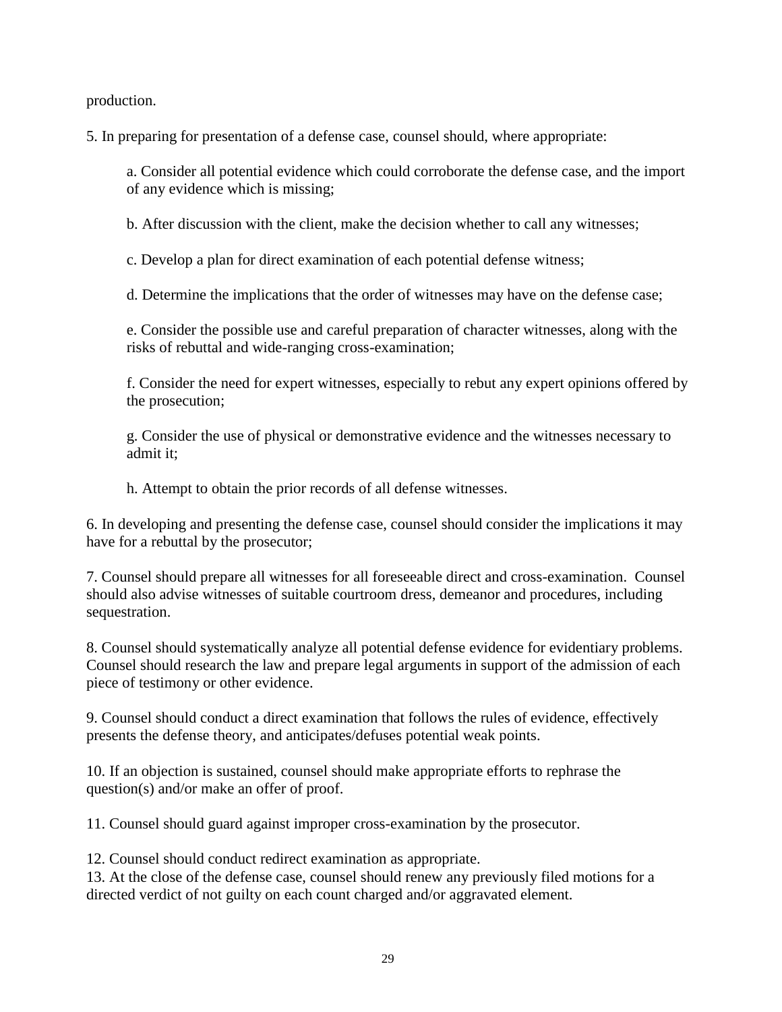production.

5. In preparing for presentation of a defense case, counsel should, where appropriate:

a. Consider all potential evidence which could corroborate the defense case, and the import of any evidence which is missing;

b. After discussion with the client, make the decision whether to call any witnesses;

c. Develop a plan for direct examination of each potential defense witness;

d. Determine the implications that the order of witnesses may have on the defense case;

e. Consider the possible use and careful preparation of character witnesses, along with the risks of rebuttal and wide-ranging cross-examination;

f. Consider the need for expert witnesses, especially to rebut any expert opinions offered by the prosecution;

g. Consider the use of physical or demonstrative evidence and the witnesses necessary to admit it;

h. Attempt to obtain the prior records of all defense witnesses.

6. In developing and presenting the defense case, counsel should consider the implications it may have for a rebuttal by the prosecutor;

7. Counsel should prepare all witnesses for all foreseeable direct and cross-examination. Counsel should also advise witnesses of suitable courtroom dress, demeanor and procedures, including sequestration.

8. Counsel should systematically analyze all potential defense evidence for evidentiary problems. Counsel should research the law and prepare legal arguments in support of the admission of each piece of testimony or other evidence.

9. Counsel should conduct a direct examination that follows the rules of evidence, effectively presents the defense theory, and anticipates/defuses potential weak points.

10. If an objection is sustained, counsel should make appropriate efforts to rephrase the question(s) and/or make an offer of proof.

11. Counsel should guard against improper cross-examination by the prosecutor.

12. Counsel should conduct redirect examination as appropriate.

13. At the close of the defense case, counsel should renew any previously filed motions for a directed verdict of not guilty on each count charged and/or aggravated element.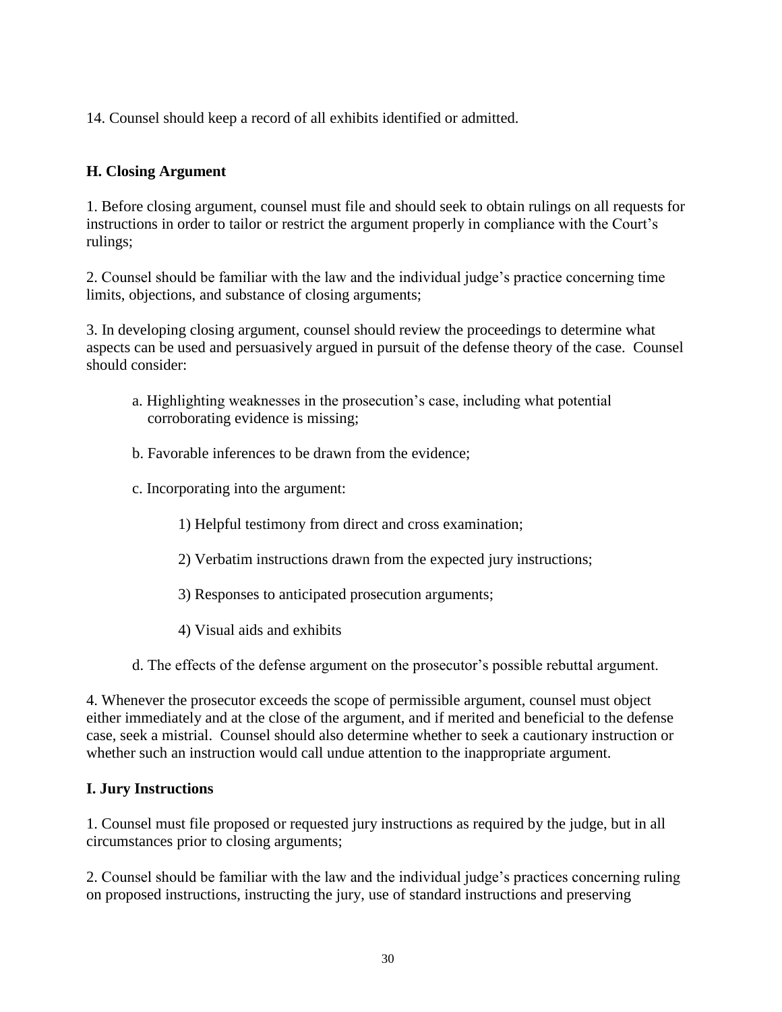14. Counsel should keep a record of all exhibits identified or admitted.

# **H. Closing Argument**

1. Before closing argument, counsel must file and should seek to obtain rulings on all requests for instructions in order to tailor or restrict the argument properly in compliance with the Court's rulings;

2. Counsel should be familiar with the law and the individual judge's practice concerning time limits, objections, and substance of closing arguments;

3. In developing closing argument, counsel should review the proceedings to determine what aspects can be used and persuasively argued in pursuit of the defense theory of the case. Counsel should consider:

- a. Highlighting weaknesses in the prosecution's case, including what potential corroborating evidence is missing;
- b. Favorable inferences to be drawn from the evidence;
- c. Incorporating into the argument:
	- 1) Helpful testimony from direct and cross examination;
	- 2) Verbatim instructions drawn from the expected jury instructions;
	- 3) Responses to anticipated prosecution arguments;
	- 4) Visual aids and exhibits
- d. The effects of the defense argument on the prosecutor's possible rebuttal argument.

4. Whenever the prosecutor exceeds the scope of permissible argument, counsel must object either immediately and at the close of the argument, and if merited and beneficial to the defense case, seek a mistrial. Counsel should also determine whether to seek a cautionary instruction or whether such an instruction would call undue attention to the inappropriate argument.

#### **I. Jury Instructions**

1. Counsel must file proposed or requested jury instructions as required by the judge, but in all circumstances prior to closing arguments;

2. Counsel should be familiar with the law and the individual judge's practices concerning ruling on proposed instructions, instructing the jury, use of standard instructions and preserving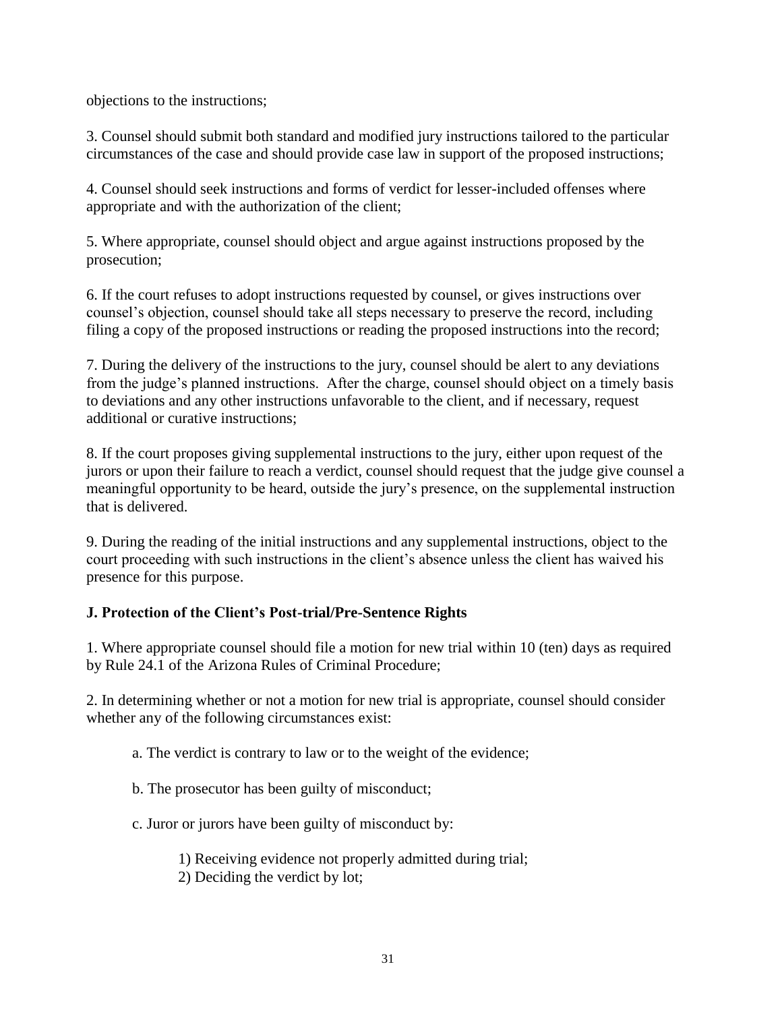objections to the instructions;

3. Counsel should submit both standard and modified jury instructions tailored to the particular circumstances of the case and should provide case law in support of the proposed instructions;

4. Counsel should seek instructions and forms of verdict for lesser-included offenses where appropriate and with the authorization of the client;

5. Where appropriate, counsel should object and argue against instructions proposed by the prosecution;

6. If the court refuses to adopt instructions requested by counsel, or gives instructions over counsel's objection, counsel should take all steps necessary to preserve the record, including filing a copy of the proposed instructions or reading the proposed instructions into the record;

7. During the delivery of the instructions to the jury, counsel should be alert to any deviations from the judge's planned instructions. After the charge, counsel should object on a timely basis to deviations and any other instructions unfavorable to the client, and if necessary, request additional or curative instructions;

8. If the court proposes giving supplemental instructions to the jury, either upon request of the jurors or upon their failure to reach a verdict, counsel should request that the judge give counsel a meaningful opportunity to be heard, outside the jury's presence, on the supplemental instruction that is delivered.

9. During the reading of the initial instructions and any supplemental instructions, object to the court proceeding with such instructions in the client's absence unless the client has waived his presence for this purpose.

# **J. Protection of the Client's Post-trial/Pre-Sentence Rights**

1. Where appropriate counsel should file a motion for new trial within 10 (ten) days as required by Rule 24.1 of the Arizona Rules of Criminal Procedure;

2. In determining whether or not a motion for new trial is appropriate, counsel should consider whether any of the following circumstances exist:

- a. The verdict is contrary to law or to the weight of the evidence;
- b. The prosecutor has been guilty of misconduct;
- c. Juror or jurors have been guilty of misconduct by:

1) Receiving evidence not properly admitted during trial;

2) Deciding the verdict by lot;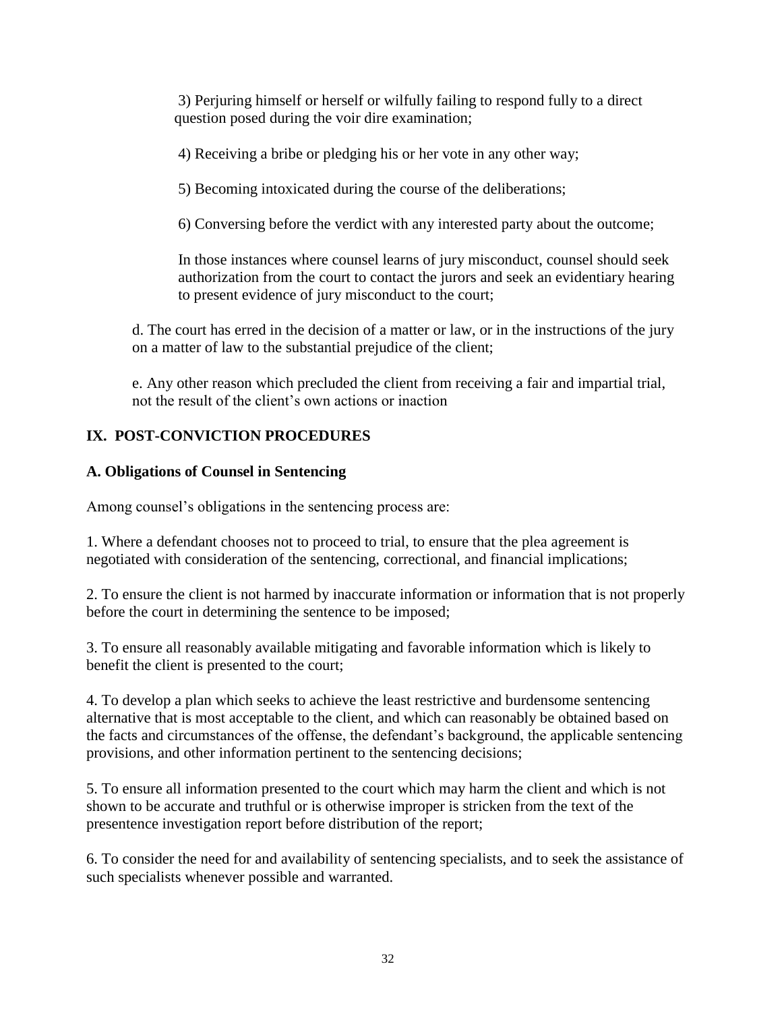3) Perjuring himself or herself or wilfully failing to respond fully to a direct question posed during the voir dire examination;

4) Receiving a bribe or pledging his or her vote in any other way;

5) Becoming intoxicated during the course of the deliberations;

6) Conversing before the verdict with any interested party about the outcome;

In those instances where counsel learns of jury misconduct, counsel should seek authorization from the court to contact the jurors and seek an evidentiary hearing to present evidence of jury misconduct to the court;

d. The court has erred in the decision of a matter or law, or in the instructions of the jury on a matter of law to the substantial prejudice of the client;

e. Any other reason which precluded the client from receiving a fair and impartial trial, not the result of the client's own actions or inaction

# **IX. POST-CONVICTION PROCEDURES**

# **A. Obligations of Counsel in Sentencing**

Among counsel's obligations in the sentencing process are:

1. Where a defendant chooses not to proceed to trial, to ensure that the plea agreement is negotiated with consideration of the sentencing, correctional, and financial implications;

2. To ensure the client is not harmed by inaccurate information or information that is not properly before the court in determining the sentence to be imposed;

3. To ensure all reasonably available mitigating and favorable information which is likely to benefit the client is presented to the court;

4. To develop a plan which seeks to achieve the least restrictive and burdensome sentencing alternative that is most acceptable to the client, and which can reasonably be obtained based on the facts and circumstances of the offense, the defendant's background, the applicable sentencing provisions, and other information pertinent to the sentencing decisions;

5. To ensure all information presented to the court which may harm the client and which is not shown to be accurate and truthful or is otherwise improper is stricken from the text of the presentence investigation report before distribution of the report;

6. To consider the need for and availability of sentencing specialists, and to seek the assistance of such specialists whenever possible and warranted.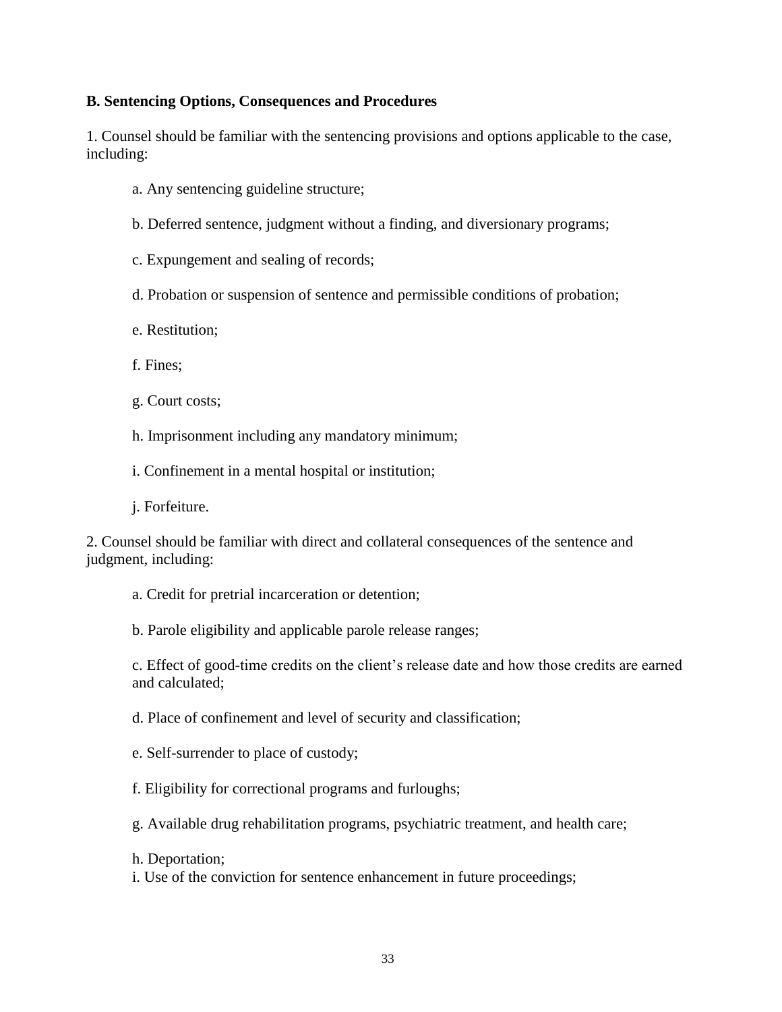#### **B. Sentencing Options, Consequences and Procedures**

1. Counsel should be familiar with the sentencing provisions and options applicable to the case, including:

- a. Any sentencing guideline structure;
- b. Deferred sentence, judgment without a finding, and diversionary programs;

c. Expungement and sealing of records;

- d. Probation or suspension of sentence and permissible conditions of probation;
- e. Restitution;
- f. Fines;
- g. Court costs;
- h. Imprisonment including any mandatory minimum;
- i. Confinement in a mental hospital or institution;
- j. Forfeiture.

2. Counsel should be familiar with direct and collateral consequences of the sentence and judgment, including:

- a. Credit for pretrial incarceration or detention;
- b. Parole eligibility and applicable parole release ranges;

c. Effect of good-time credits on the client's release date and how those credits are earned and calculated;

d. Place of confinement and level of security and classification;

- e. Self-surrender to place of custody;
- f. Eligibility for correctional programs and furloughs;
- g. Available drug rehabilitation programs, psychiatric treatment, and health care;
- h. Deportation;
- i. Use of the conviction for sentence enhancement in future proceedings;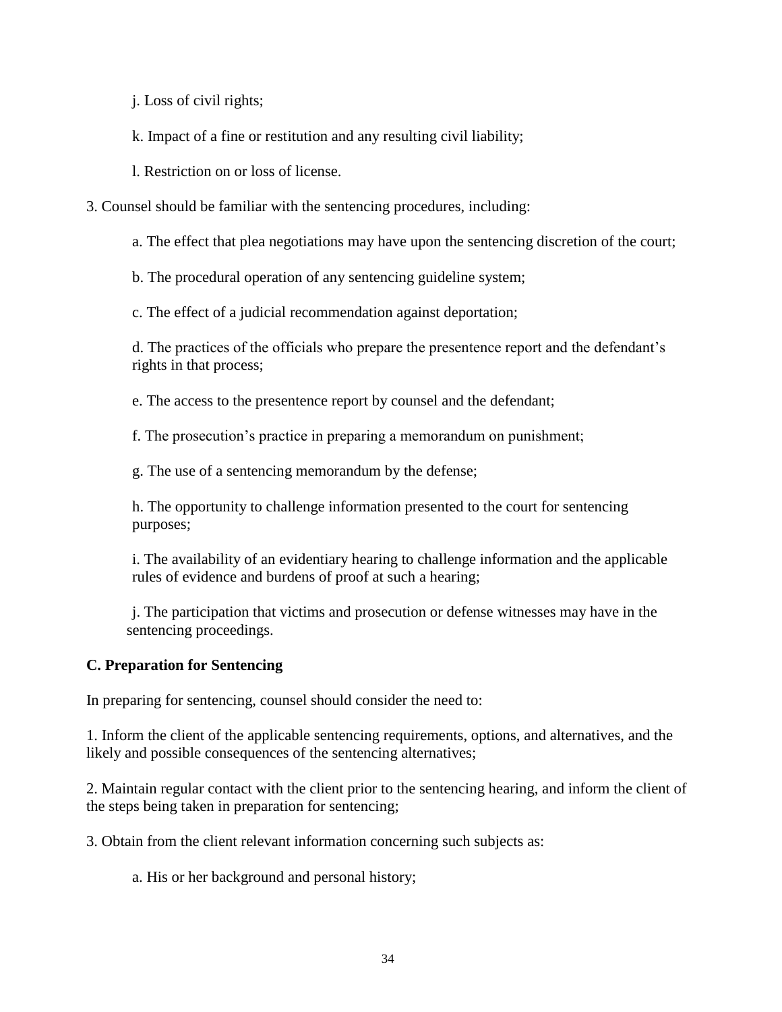j. Loss of civil rights;

k. Impact of a fine or restitution and any resulting civil liability;

l. Restriction on or loss of license.

3. Counsel should be familiar with the sentencing procedures, including:

a. The effect that plea negotiations may have upon the sentencing discretion of the court;

b. The procedural operation of any sentencing guideline system;

c. The effect of a judicial recommendation against deportation;

d. The practices of the officials who prepare the presentence report and the defendant's rights in that process;

e. The access to the presentence report by counsel and the defendant;

f. The prosecution's practice in preparing a memorandum on punishment;

g. The use of a sentencing memorandum by the defense;

h. The opportunity to challenge information presented to the court for sentencing purposes;

i. The availability of an evidentiary hearing to challenge information and the applicable rules of evidence and burdens of proof at such a hearing;

j. The participation that victims and prosecution or defense witnesses may have in the sentencing proceedings.

#### **C. Preparation for Sentencing**

In preparing for sentencing, counsel should consider the need to:

1. Inform the client of the applicable sentencing requirements, options, and alternatives, and the likely and possible consequences of the sentencing alternatives;

2. Maintain regular contact with the client prior to the sentencing hearing, and inform the client of the steps being taken in preparation for sentencing;

3. Obtain from the client relevant information concerning such subjects as:

a. His or her background and personal history;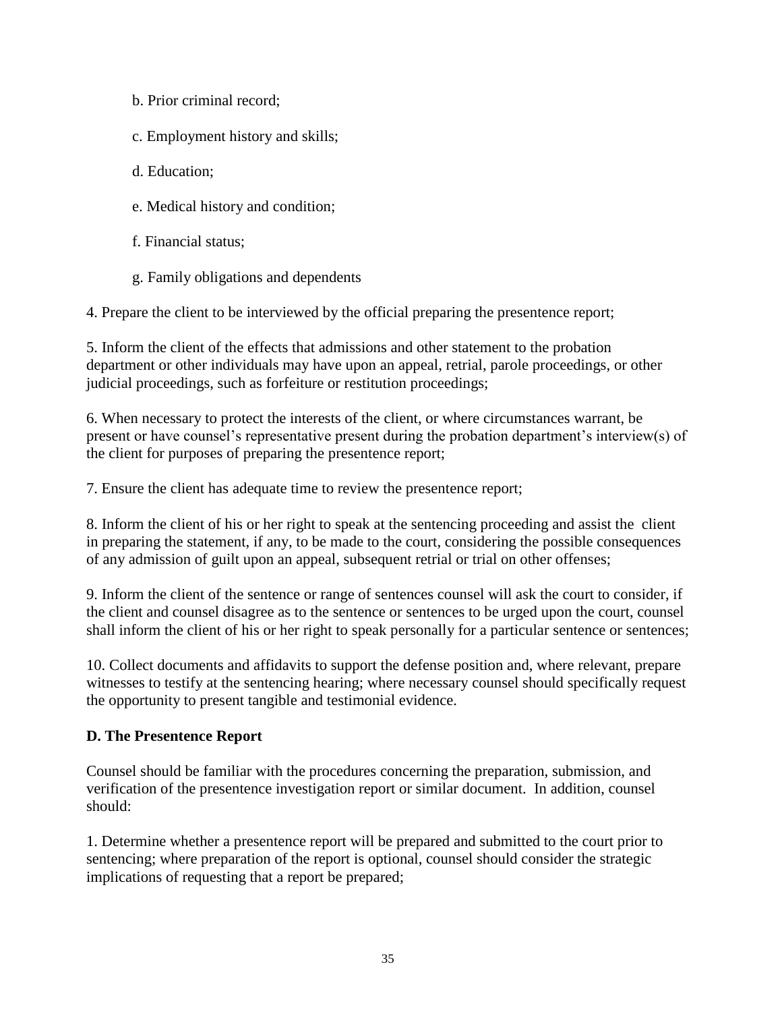- b. Prior criminal record;
- c. Employment history and skills;
- d. Education;
- e. Medical history and condition;
- f. Financial status;
- g. Family obligations and dependents

4. Prepare the client to be interviewed by the official preparing the presentence report;

5. Inform the client of the effects that admissions and other statement to the probation department or other individuals may have upon an appeal, retrial, parole proceedings, or other judicial proceedings, such as forfeiture or restitution proceedings;

6. When necessary to protect the interests of the client, or where circumstances warrant, be present or have counsel's representative present during the probation department's interview(s) of the client for purposes of preparing the presentence report;

7. Ensure the client has adequate time to review the presentence report;

8. Inform the client of his or her right to speak at the sentencing proceeding and assist the client in preparing the statement, if any, to be made to the court, considering the possible consequences of any admission of guilt upon an appeal, subsequent retrial or trial on other offenses;

9. Inform the client of the sentence or range of sentences counsel will ask the court to consider, if the client and counsel disagree as to the sentence or sentences to be urged upon the court, counsel shall inform the client of his or her right to speak personally for a particular sentence or sentences;

10. Collect documents and affidavits to support the defense position and, where relevant, prepare witnesses to testify at the sentencing hearing; where necessary counsel should specifically request the opportunity to present tangible and testimonial evidence.

#### **D. The Presentence Report**

Counsel should be familiar with the procedures concerning the preparation, submission, and verification of the presentence investigation report or similar document. In addition, counsel should:

1. Determine whether a presentence report will be prepared and submitted to the court prior to sentencing; where preparation of the report is optional, counsel should consider the strategic implications of requesting that a report be prepared;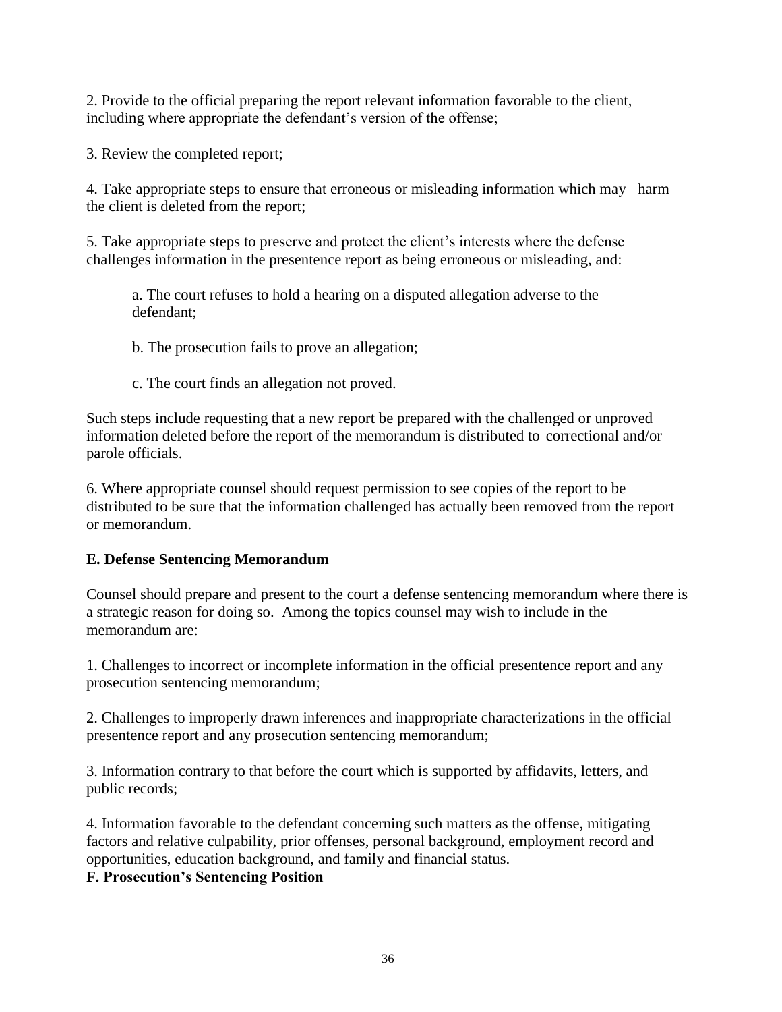2. Provide to the official preparing the report relevant information favorable to the client, including where appropriate the defendant's version of the offense;

3. Review the completed report;

4. Take appropriate steps to ensure that erroneous or misleading information which may harm the client is deleted from the report;

5. Take appropriate steps to preserve and protect the client's interests where the defense challenges information in the presentence report as being erroneous or misleading, and:

a. The court refuses to hold a hearing on a disputed allegation adverse to the defendant;

b. The prosecution fails to prove an allegation;

c. The court finds an allegation not proved.

Such steps include requesting that a new report be prepared with the challenged or unproved information deleted before the report of the memorandum is distributed to correctional and/or parole officials.

6. Where appropriate counsel should request permission to see copies of the report to be distributed to be sure that the information challenged has actually been removed from the report or memorandum.

#### **E. Defense Sentencing Memorandum**

Counsel should prepare and present to the court a defense sentencing memorandum where there is a strategic reason for doing so. Among the topics counsel may wish to include in the memorandum are:

1. Challenges to incorrect or incomplete information in the official presentence report and any prosecution sentencing memorandum;

2. Challenges to improperly drawn inferences and inappropriate characterizations in the official presentence report and any prosecution sentencing memorandum;

3. Information contrary to that before the court which is supported by affidavits, letters, and public records;

4. Information favorable to the defendant concerning such matters as the offense, mitigating factors and relative culpability, prior offenses, personal background, employment record and opportunities, education background, and family and financial status.

**F. Prosecution's Sentencing Position**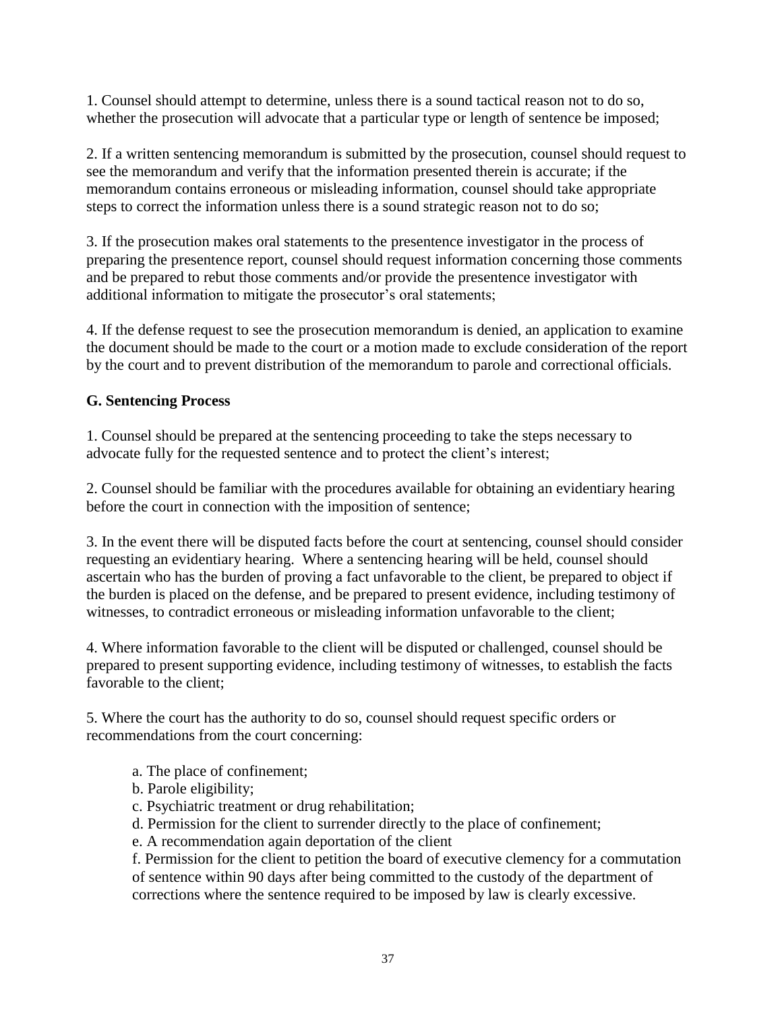1. Counsel should attempt to determine, unless there is a sound tactical reason not to do so, whether the prosecution will advocate that a particular type or length of sentence be imposed;

2. If a written sentencing memorandum is submitted by the prosecution, counsel should request to see the memorandum and verify that the information presented therein is accurate; if the memorandum contains erroneous or misleading information, counsel should take appropriate steps to correct the information unless there is a sound strategic reason not to do so;

3. If the prosecution makes oral statements to the presentence investigator in the process of preparing the presentence report, counsel should request information concerning those comments and be prepared to rebut those comments and/or provide the presentence investigator with additional information to mitigate the prosecutor's oral statements;

4. If the defense request to see the prosecution memorandum is denied, an application to examine the document should be made to the court or a motion made to exclude consideration of the report by the court and to prevent distribution of the memorandum to parole and correctional officials.

#### **G. Sentencing Process**

1. Counsel should be prepared at the sentencing proceeding to take the steps necessary to advocate fully for the requested sentence and to protect the client's interest;

2. Counsel should be familiar with the procedures available for obtaining an evidentiary hearing before the court in connection with the imposition of sentence;

3. In the event there will be disputed facts before the court at sentencing, counsel should consider requesting an evidentiary hearing. Where a sentencing hearing will be held, counsel should ascertain who has the burden of proving a fact unfavorable to the client, be prepared to object if the burden is placed on the defense, and be prepared to present evidence, including testimony of witnesses, to contradict erroneous or misleading information unfavorable to the client;

4. Where information favorable to the client will be disputed or challenged, counsel should be prepared to present supporting evidence, including testimony of witnesses, to establish the facts favorable to the client;

5. Where the court has the authority to do so, counsel should request specific orders or recommendations from the court concerning:

- a. The place of confinement;
- b. Parole eligibility;
- c. Psychiatric treatment or drug rehabilitation;
- d. Permission for the client to surrender directly to the place of confinement;
- e. A recommendation again deportation of the client

f. Permission for the client to petition the board of executive clemency for a commutation of sentence within 90 days after being committed to the custody of the department of corrections where the sentence required to be imposed by law is clearly excessive.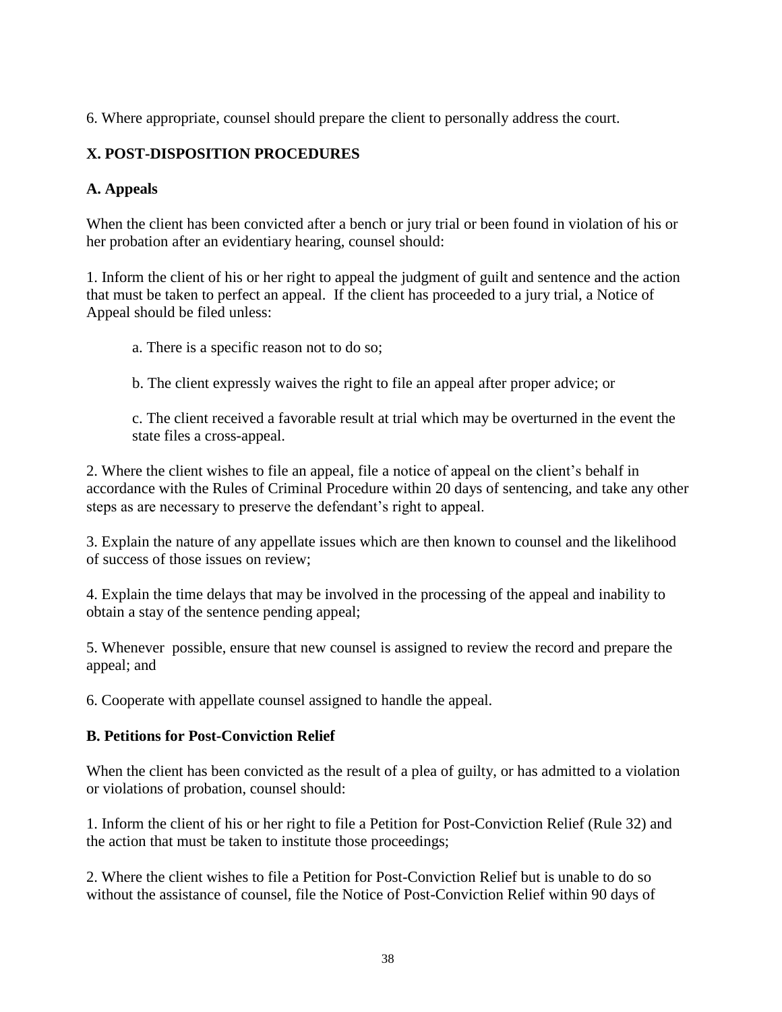6. Where appropriate, counsel should prepare the client to personally address the court.

# **X. POST-DISPOSITION PROCEDURES**

# **A. Appeals**

When the client has been convicted after a bench or jury trial or been found in violation of his or her probation after an evidentiary hearing, counsel should:

1. Inform the client of his or her right to appeal the judgment of guilt and sentence and the action that must be taken to perfect an appeal. If the client has proceeded to a jury trial, a Notice of Appeal should be filed unless:

a. There is a specific reason not to do so;

b. The client expressly waives the right to file an appeal after proper advice; or

c. The client received a favorable result at trial which may be overturned in the event the state files a cross-appeal.

2. Where the client wishes to file an appeal, file a notice of appeal on the client's behalf in accordance with the Rules of Criminal Procedure within 20 days of sentencing, and take any other steps as are necessary to preserve the defendant's right to appeal.

3. Explain the nature of any appellate issues which are then known to counsel and the likelihood of success of those issues on review;

4. Explain the time delays that may be involved in the processing of the appeal and inability to obtain a stay of the sentence pending appeal;

5. Whenever possible, ensure that new counsel is assigned to review the record and prepare the appeal; and

6. Cooperate with appellate counsel assigned to handle the appeal.

# **B. Petitions for Post-Conviction Relief**

When the client has been convicted as the result of a plea of guilty, or has admitted to a violation or violations of probation, counsel should:

1. Inform the client of his or her right to file a Petition for Post-Conviction Relief (Rule 32) and the action that must be taken to institute those proceedings;

2. Where the client wishes to file a Petition for Post-Conviction Relief but is unable to do so without the assistance of counsel, file the Notice of Post-Conviction Relief within 90 days of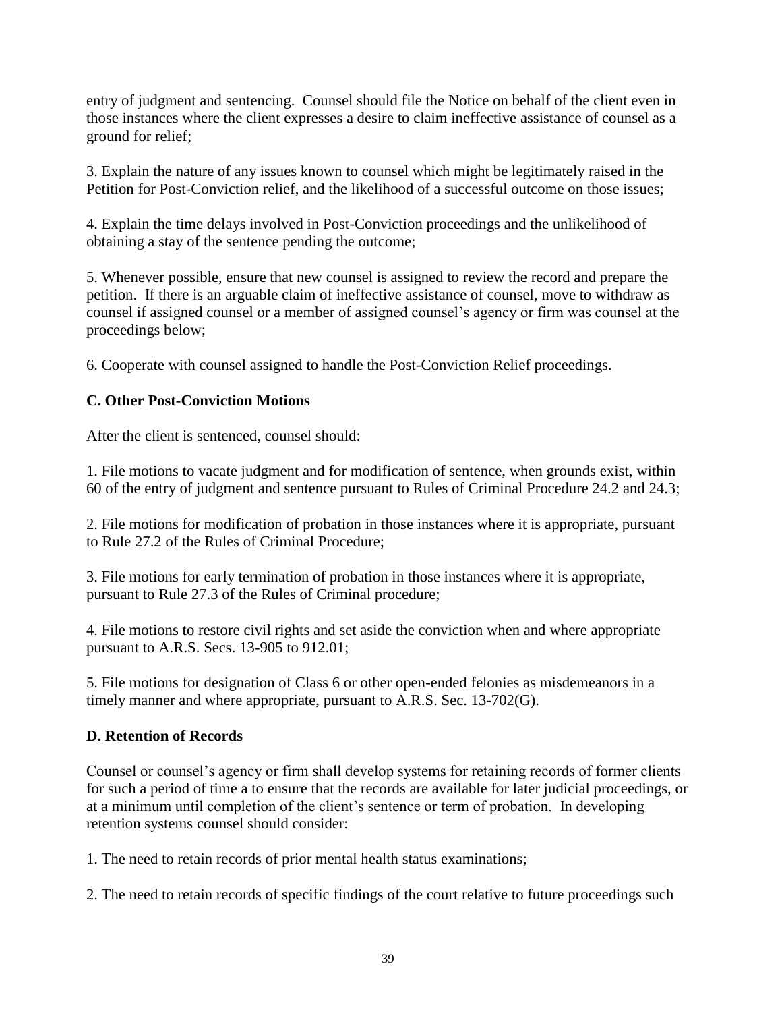entry of judgment and sentencing. Counsel should file the Notice on behalf of the client even in those instances where the client expresses a desire to claim ineffective assistance of counsel as a ground for relief;

3. Explain the nature of any issues known to counsel which might be legitimately raised in the Petition for Post-Conviction relief, and the likelihood of a successful outcome on those issues;

4. Explain the time delays involved in Post-Conviction proceedings and the unlikelihood of obtaining a stay of the sentence pending the outcome;

5. Whenever possible, ensure that new counsel is assigned to review the record and prepare the petition. If there is an arguable claim of ineffective assistance of counsel, move to withdraw as counsel if assigned counsel or a member of assigned counsel's agency or firm was counsel at the proceedings below;

6. Cooperate with counsel assigned to handle the Post-Conviction Relief proceedings.

# **C. Other Post-Conviction Motions**

After the client is sentenced, counsel should:

1. File motions to vacate judgment and for modification of sentence, when grounds exist, within 60 of the entry of judgment and sentence pursuant to Rules of Criminal Procedure 24.2 and 24.3;

2. File motions for modification of probation in those instances where it is appropriate, pursuant to Rule 27.2 of the Rules of Criminal Procedure;

3. File motions for early termination of probation in those instances where it is appropriate, pursuant to Rule 27.3 of the Rules of Criminal procedure;

4. File motions to restore civil rights and set aside the conviction when and where appropriate pursuant to A.R.S. Secs. 13-905 to 912.01;

5. File motions for designation of Class 6 or other open-ended felonies as misdemeanors in a timely manner and where appropriate, pursuant to A.R.S. Sec. 13-702(G).

# **D. Retention of Records**

Counsel or counsel's agency or firm shall develop systems for retaining records of former clients for such a period of time a to ensure that the records are available for later judicial proceedings, or at a minimum until completion of the client's sentence or term of probation. In developing retention systems counsel should consider:

1. The need to retain records of prior mental health status examinations;

2. The need to retain records of specific findings of the court relative to future proceedings such